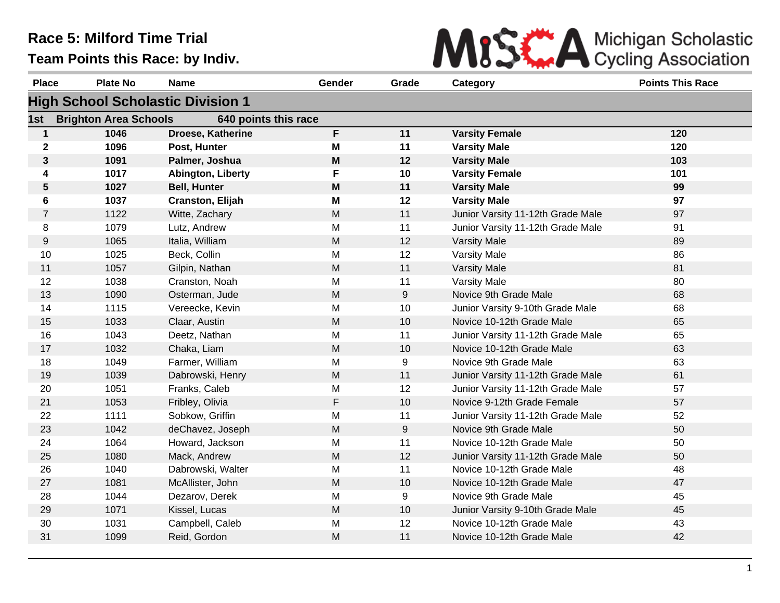

| <b>Place</b>   | <b>Plate No</b>              | <b>Name</b>                              | Gender    | Grade            | Category                          | <b>Points This Race</b> |
|----------------|------------------------------|------------------------------------------|-----------|------------------|-----------------------------------|-------------------------|
|                |                              | <b>High School Scholastic Division 1</b> |           |                  |                                   |                         |
| 1st            | <b>Brighton Area Schools</b> | 640 points this race                     |           |                  |                                   |                         |
| $\mathbf{1}$   | 1046                         | <b>Droese, Katherine</b>                 | F         | 11               | <b>Varsity Female</b>             | 120                     |
| $\mathbf 2$    | 1096                         | Post, Hunter                             | M         | 11               | <b>Varsity Male</b>               | 120                     |
| $\mathbf{3}$   | 1091                         | Palmer, Joshua                           | M         | 12               | <b>Varsity Male</b>               | 103                     |
| 4              | 1017                         | Abington, Liberty                        | F         | 10               | <b>Varsity Female</b>             | 101                     |
| $\sqrt{5}$     | 1027                         | <b>Bell, Hunter</b>                      | M         | 11               | <b>Varsity Male</b>               | 99                      |
| 6              | 1037                         | <b>Cranston, Elijah</b>                  | M         | 12               | <b>Varsity Male</b>               | 97                      |
| $\overline{7}$ | 1122                         | Witte, Zachary                           | ${\sf M}$ | 11               | Junior Varsity 11-12th Grade Male | 97                      |
| 8              | 1079                         | Lutz, Andrew                             | M         | 11               | Junior Varsity 11-12th Grade Male | 91                      |
| 9              | 1065                         | Italia, William                          | M         | 12               | <b>Varsity Male</b>               | 89                      |
| 10             | 1025                         | Beck, Collin                             | M         | 12               | Varsity Male                      | 86                      |
| 11             | 1057                         | Gilpin, Nathan                           | M         | 11               | <b>Varsity Male</b>               | 81                      |
| 12             | 1038                         | Cranston, Noah                           | M         | 11               | Varsity Male                      | 80                      |
| 13             | 1090                         | Osterman, Jude                           | ${\sf M}$ | $\boldsymbol{9}$ | Novice 9th Grade Male             | 68                      |
| 14             | 1115                         | Vereecke, Kevin                          | M         | 10               | Junior Varsity 9-10th Grade Male  | 68                      |
| 15             | 1033                         | Claar, Austin                            | M         | 10               | Novice 10-12th Grade Male         | 65                      |
| 16             | 1043                         | Deetz, Nathan                            | M         | 11               | Junior Varsity 11-12th Grade Male | 65                      |
| 17             | 1032                         | Chaka, Liam                              | M         | 10               | Novice 10-12th Grade Male         | 63                      |
| 18             | 1049                         | Farmer, William                          | M         | 9                | Novice 9th Grade Male             | 63                      |
| 19             | 1039                         | Dabrowski, Henry                         | M         | 11               | Junior Varsity 11-12th Grade Male | 61                      |
| 20             | 1051                         | Franks, Caleb                            | M         | 12               | Junior Varsity 11-12th Grade Male | 57                      |
| 21             | 1053                         | Fribley, Olivia                          | F         | 10               | Novice 9-12th Grade Female        | 57                      |
| 22             | 1111                         | Sobkow, Griffin                          | M         | 11               | Junior Varsity 11-12th Grade Male | 52                      |
| 23             | 1042                         | deChavez, Joseph                         | M         | 9                | Novice 9th Grade Male             | 50                      |
| 24             | 1064                         | Howard, Jackson                          | M         | 11               | Novice 10-12th Grade Male         | 50                      |
| 25             | 1080                         | Mack, Andrew                             | M         | 12               | Junior Varsity 11-12th Grade Male | 50                      |
| 26             | 1040                         | Dabrowski, Walter                        | M         | 11               | Novice 10-12th Grade Male         | 48                      |
| 27             | 1081                         | McAllister, John                         | ${\sf M}$ | 10               | Novice 10-12th Grade Male         | 47                      |
| 28             | 1044                         | Dezarov, Derek                           | M         | 9                | Novice 9th Grade Male             | 45                      |
| 29             | 1071                         | Kissel, Lucas                            | M         | 10               | Junior Varsity 9-10th Grade Male  | 45                      |
| 30             | 1031                         | Campbell, Caleb                          | M         | 12               | Novice 10-12th Grade Male         | 43                      |
| 31             | 1099                         | Reid, Gordon                             | M         | 11               | Novice 10-12th Grade Male         | 42                      |
|                |                              |                                          |           |                  |                                   |                         |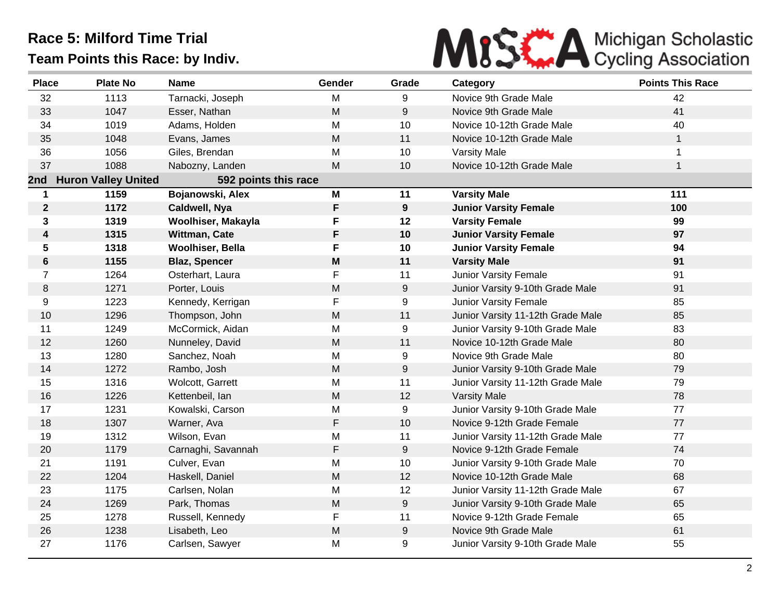

| <b>Place</b>    | <b>Plate No</b>            | <b>Name</b>          | Gender    | Grade | Category                          | <b>Points This Race</b> |
|-----------------|----------------------------|----------------------|-----------|-------|-----------------------------------|-------------------------|
| 32              | 1113                       | Tarnacki, Joseph     | M         | 9     | Novice 9th Grade Male             | 42                      |
| 33              | 1047                       | Esser, Nathan        | M         | 9     | Novice 9th Grade Male             | 41                      |
| 34              | 1019                       | Adams, Holden        | M         | 10    | Novice 10-12th Grade Male         | 40                      |
| 35              | 1048                       | Evans, James         | M         | 11    | Novice 10-12th Grade Male         | $\mathbf{1}$            |
| 36              | 1056                       | Giles, Brendan       | M         | 10    | <b>Varsity Male</b>               | 1                       |
| 37              | 1088                       | Nabozny, Landen      | M         | 10    | Novice 10-12th Grade Male         | $\mathbf{1}$            |
| 2nd             | <b>Huron Valley United</b> | 592 points this race |           |       |                                   |                         |
| 1               | 1159                       | Bojanowski, Alex     | M         | 11    | <b>Varsity Male</b>               | 111                     |
| $\mathbf 2$     | 1172                       | Caldwell, Nya        | F         | 9     | <b>Junior Varsity Female</b>      | 100                     |
| 3               | 1319                       | Woolhiser, Makayla   | F         | 12    | <b>Varsity Female</b>             | 99                      |
| 4               | 1315                       | Wittman, Cate        | F         | 10    | <b>Junior Varsity Female</b>      | 97                      |
| $5\phantom{.0}$ | 1318                       | Woolhiser, Bella     | F         | 10    | <b>Junior Varsity Female</b>      | 94                      |
| $\bf 6$         | 1155                       | <b>Blaz, Spencer</b> | M         | 11    | <b>Varsity Male</b>               | 91                      |
| $\overline{7}$  | 1264                       | Osterhart, Laura     | F         | 11    | Junior Varsity Female             | 91                      |
| 8               | 1271                       | Porter, Louis        | M         | 9     | Junior Varsity 9-10th Grade Male  | 91                      |
| 9               | 1223                       | Kennedy, Kerrigan    | F         | 9     | Junior Varsity Female             | 85                      |
| 10              | 1296                       | Thompson, John       | M         | 11    | Junior Varsity 11-12th Grade Male | 85                      |
| 11              | 1249                       | McCormick, Aidan     | M         | 9     | Junior Varsity 9-10th Grade Male  | 83                      |
| 12              | 1260                       | Nunneley, David      | M         | 11    | Novice 10-12th Grade Male         | 80                      |
| 13              | 1280                       | Sanchez, Noah        | M         | 9     | Novice 9th Grade Male             | 80                      |
| 14              | 1272                       | Rambo, Josh          | M         | 9     | Junior Varsity 9-10th Grade Male  | 79                      |
| 15              | 1316                       | Wolcott, Garrett     | M         | 11    | Junior Varsity 11-12th Grade Male | 79                      |
| 16              | 1226                       | Kettenbeil, lan      | ${\sf M}$ | 12    | <b>Varsity Male</b>               | 78                      |
| 17              | 1231                       | Kowalski, Carson     | M         | 9     | Junior Varsity 9-10th Grade Male  | 77                      |
| 18              | 1307                       | Warner, Ava          | F         | 10    | Novice 9-12th Grade Female        | 77                      |
| 19              | 1312                       | Wilson, Evan         | M         | 11    | Junior Varsity 11-12th Grade Male | 77                      |
| 20              | 1179                       | Carnaghi, Savannah   | F         | 9     | Novice 9-12th Grade Female        | 74                      |
| 21              | 1191                       | Culver, Evan         | M         | 10    | Junior Varsity 9-10th Grade Male  | 70                      |
| 22              | 1204                       | Haskell, Daniel      | M         | 12    | Novice 10-12th Grade Male         | 68                      |
| 23              | 1175                       | Carlsen, Nolan       | M         | 12    | Junior Varsity 11-12th Grade Male | 67                      |
| 24              | 1269                       | Park, Thomas         | M         | 9     | Junior Varsity 9-10th Grade Male  | 65                      |
| 25              | 1278                       | Russell, Kennedy     | F         | 11    | Novice 9-12th Grade Female        | 65                      |
| 26              | 1238                       | Lisabeth, Leo        | M         | 9     | Novice 9th Grade Male             | 61                      |
| 27              | 1176                       | Carlsen, Sawyer      | M         | 9     | Junior Varsity 9-10th Grade Male  | 55                      |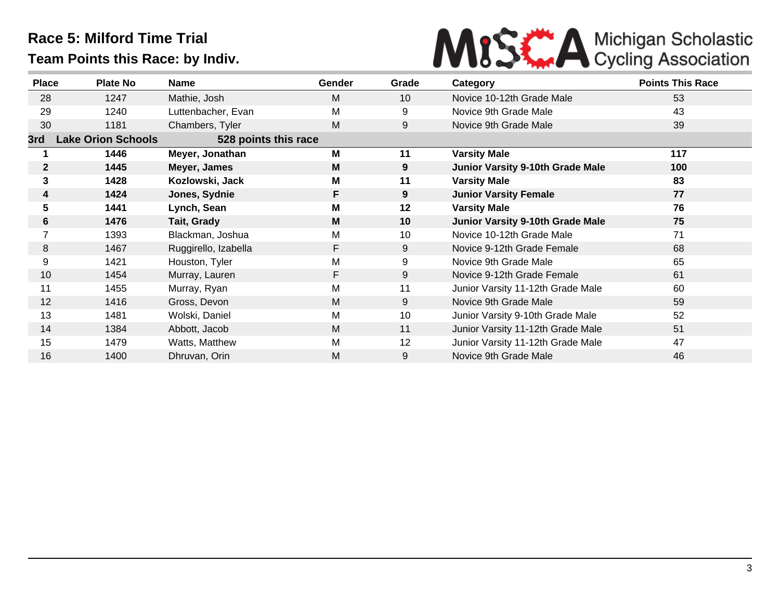

| <b>Place</b>   | <b>Plate No</b>           | <b>Name</b>          | <b>Gender</b> | Grade | Category                                | <b>Points This Race</b> |
|----------------|---------------------------|----------------------|---------------|-------|-----------------------------------------|-------------------------|
| 28             | 1247                      | Mathie, Josh         | M             | 10    | Novice 10-12th Grade Male               | 53                      |
| 29             | 1240                      | Luttenbacher, Evan   | M             | 9     | Novice 9th Grade Male                   | 43                      |
| 30             | 1181                      | Chambers, Tyler      | M             | 9     | Novice 9th Grade Male                   | 39                      |
| 3rd            | <b>Lake Orion Schools</b> | 528 points this race |               |       |                                         |                         |
|                | 1446                      | Meyer, Jonathan      | M             | 11    | <b>Varsity Male</b>                     | 117                     |
| $\mathbf{2}$   | 1445                      | Meyer, James         | M             | 9     | Junior Varsity 9-10th Grade Male        | 100                     |
| 3              | 1428                      | Kozlowski, Jack      | M             | 11    | <b>Varsity Male</b>                     | 83                      |
| 4              | 1424                      | Jones, Sydnie        | F             | 9     | <b>Junior Varsity Female</b>            | 77                      |
| 5              | 1441                      | Lynch, Sean          | M             | 12    | <b>Varsity Male</b>                     | 76                      |
| 6              | 1476                      | Tait, Grady          | M             | 10    | <b>Junior Varsity 9-10th Grade Male</b> | 75                      |
| $\overline{ }$ | 1393                      | Blackman, Joshua     | M             | 10    | Novice 10-12th Grade Male               | 71                      |
| 8              | 1467                      | Ruggirello, Izabella | F             | 9     | Novice 9-12th Grade Female              | 68                      |
| 9              | 1421                      | Houston, Tyler       | Μ             | 9     | Novice 9th Grade Male                   | 65                      |
| 10             | 1454                      | Murray, Lauren       | F             | 9     | Novice 9-12th Grade Female              | 61                      |
| 11             | 1455                      | Murray, Ryan         | M             | 11    | Junior Varsity 11-12th Grade Male       | 60                      |
| 12             | 1416                      | Gross, Devon         | M             | 9     | Novice 9th Grade Male                   | 59                      |
| 13             | 1481                      | Wolski, Daniel       | M             | 10    | Junior Varsity 9-10th Grade Male        | 52                      |
| 14             | 1384                      | Abbott, Jacob        | M             | 11    | Junior Varsity 11-12th Grade Male       | 51                      |
| 15             | 1479                      | Watts, Matthew       | M             | 12    | Junior Varsity 11-12th Grade Male       | 47                      |
| 16             | 1400                      | Dhruvan, Orin        | М             | 9     | Novice 9th Grade Male                   | 46                      |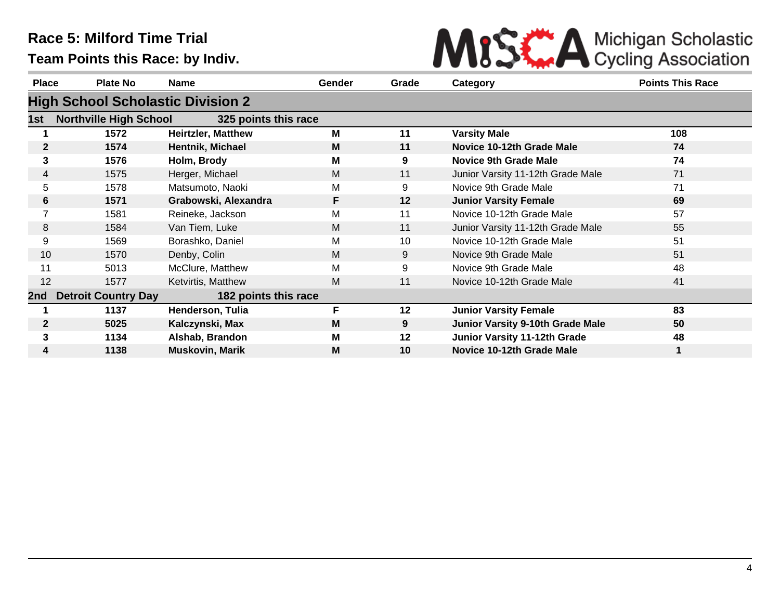

| <b>Place</b>    | <b>Plate No</b>                          | Name                      | <b>Gender</b> | Grade   | Category                                | <b>Points This Race</b> |
|-----------------|------------------------------------------|---------------------------|---------------|---------|-----------------------------------------|-------------------------|
|                 | <b>High School Scholastic Division 2</b> |                           |               |         |                                         |                         |
| 1st.            | <b>Northville High School</b>            | 325 points this race      |               |         |                                         |                         |
|                 | 1572                                     | <b>Heirtzler, Matthew</b> | М             | 11      | <b>Varsity Male</b>                     | 108                     |
| $\mathbf{2}$    | 1574                                     | Hentnik, Michael          | M             | 11      | Novice 10-12th Grade Male               | 74                      |
| 3               | 1576                                     | Holm, Brody               | М             | 9       | <b>Novice 9th Grade Male</b>            | 74                      |
| $\overline{4}$  | 1575                                     | Herger, Michael           | M             | 11      | Junior Varsity 11-12th Grade Male       | 71                      |
| 5               | 1578                                     | Matsumoto, Naoki          | М             | 9       | Novice 9th Grade Male                   | 71                      |
| 6               | 1571                                     | Grabowski, Alexandra      | F             | 12      | <b>Junior Varsity Female</b>            | 69                      |
| 7               | 1581                                     | Reineke, Jackson          | Μ             | 11      | Novice 10-12th Grade Male               | 57                      |
| 8               | 1584                                     | Van Tiem, Luke            | М             | 11      | Junior Varsity 11-12th Grade Male       | 55                      |
| 9               | 1569                                     | Borashko, Daniel          | Μ             | 10      | Novice 10-12th Grade Male               | 51                      |
| 10 <sup>°</sup> | 1570                                     | Denby, Colin              | М             | 9       | Novice 9th Grade Male                   | 51                      |
| 11              | 5013                                     | McClure, Matthew          | Μ             | 9       | Novice 9th Grade Male                   | 48                      |
| 12              | 1577                                     | Ketvirtis, Matthew        | M             | 11      | Novice 10-12th Grade Male               | 41                      |
| 2nd             | <b>Detroit Country Day</b>               | 182 points this race      |               |         |                                         |                         |
|                 | 1137                                     | Henderson, Tulia          | F.            | $12 \,$ | <b>Junior Varsity Female</b>            | 83                      |
| $\mathbf{2}$    | 5025                                     | Kalczynski, Max           | M             | 9       | <b>Junior Varsity 9-10th Grade Male</b> | 50                      |
| 3               | 1134                                     | Alshab, Brandon           | Μ             | $12 \,$ | Junior Varsity 11-12th Grade            | 48                      |
| 4               | 1138                                     | <b>Muskovin, Marik</b>    | M             | 10      | Novice 10-12th Grade Male               |                         |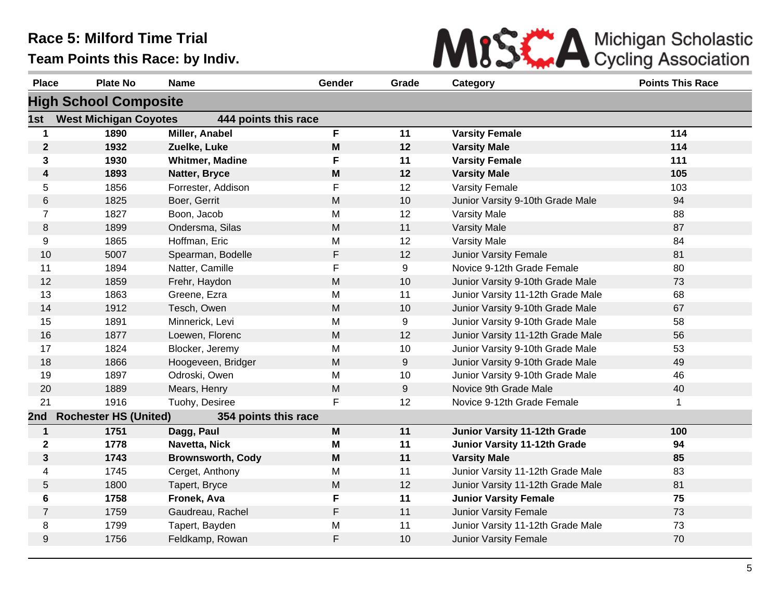

| <b>Place</b>   | <b>Plate No</b>              | <b>Name</b>              | Gender                                                                                | Grade | Category                          | <b>Points This Race</b> |
|----------------|------------------------------|--------------------------|---------------------------------------------------------------------------------------|-------|-----------------------------------|-------------------------|
|                | <b>High School Composite</b> |                          |                                                                                       |       |                                   |                         |
| 1st            | <b>West Michigan Coyotes</b> | 444 points this race     |                                                                                       |       |                                   |                         |
| 1              | 1890                         | Miller, Anabel           | F                                                                                     | 11    | <b>Varsity Female</b>             | 114                     |
| $\mathbf 2$    | 1932                         | Zuelke, Luke             | M                                                                                     | 12    | <b>Varsity Male</b>               | 114                     |
| 3              | 1930                         | <b>Whitmer, Madine</b>   | F                                                                                     | 11    | <b>Varsity Female</b>             | 111                     |
| 4              | 1893                         | Natter, Bryce            | M                                                                                     | 12    | <b>Varsity Male</b>               | 105                     |
| 5              | 1856                         | Forrester, Addison       | F                                                                                     | 12    | <b>Varsity Female</b>             | 103                     |
| 6              | 1825                         | Boer, Gerrit             | M                                                                                     | 10    | Junior Varsity 9-10th Grade Male  | 94                      |
| $\overline{7}$ | 1827                         | Boon, Jacob              | M                                                                                     | 12    | Varsity Male                      | 88                      |
| 8              | 1899                         | Ondersma, Silas          | ${\sf M}$                                                                             | 11    | <b>Varsity Male</b>               | 87                      |
| 9              | 1865                         | Hoffman, Eric            | M                                                                                     | 12    | Varsity Male                      | 84                      |
| 10             | 5007                         | Spearman, Bodelle        | F                                                                                     | 12    | Junior Varsity Female             | 81                      |
| 11             | 1894                         | Natter, Camille          | F                                                                                     | 9     | Novice 9-12th Grade Female        | 80                      |
| 12             | 1859                         | Frehr, Haydon            | M                                                                                     | 10    | Junior Varsity 9-10th Grade Male  | 73                      |
| 13             | 1863                         | Greene, Ezra             | M                                                                                     | 11    | Junior Varsity 11-12th Grade Male | 68                      |
| 14             | 1912                         | Tesch, Owen              | M                                                                                     | 10    | Junior Varsity 9-10th Grade Male  | 67                      |
| 15             | 1891                         | Minnerick, Levi          | M                                                                                     | 9     | Junior Varsity 9-10th Grade Male  | 58                      |
| 16             | 1877                         | Loewen, Florenc          | ${\sf M}$                                                                             | 12    | Junior Varsity 11-12th Grade Male | 56                      |
| 17             | 1824                         | Blocker, Jeremy          | M                                                                                     | 10    | Junior Varsity 9-10th Grade Male  | 53                      |
| 18             | 1866                         | Hoogeveen, Bridger       | M                                                                                     | 9     | Junior Varsity 9-10th Grade Male  | 49                      |
| 19             | 1897                         | Odroski, Owen            | M                                                                                     | 10    | Junior Varsity 9-10th Grade Male  | 46                      |
| 20             | 1889                         | Mears, Henry             | M                                                                                     | 9     | Novice 9th Grade Male             | 40                      |
| 21             | 1916                         | Tuohy, Desiree           | F                                                                                     | 12    | Novice 9-12th Grade Female        | $\mathbf 1$             |
| 2nd            | <b>Rochester HS (United)</b> | 354 points this race     |                                                                                       |       |                                   |                         |
| $\mathbf 1$    | 1751                         | Dagg, Paul               | $\boldsymbol{\mathsf{M}}$                                                             | 11    | Junior Varsity 11-12th Grade      | 100                     |
| $\mathbf{2}$   | 1778                         | Navetta, Nick            | M                                                                                     | 11    | Junior Varsity 11-12th Grade      | 94                      |
| 3              | 1743                         | <b>Brownsworth, Cody</b> | $\mathsf{M}% _{T}=\mathsf{M}_{T}\!\left( a,b\right) ,\ \mathsf{M}_{T}=\mathsf{M}_{T}$ | 11    | <b>Varsity Male</b>               | 85                      |
| 4              | 1745                         | Cerget, Anthony          | M                                                                                     | 11    | Junior Varsity 11-12th Grade Male | 83                      |
| 5              | 1800                         | Tapert, Bryce            | M                                                                                     | 12    | Junior Varsity 11-12th Grade Male | 81                      |
| 6              | 1758                         | Fronek, Ava              | F                                                                                     | 11    | <b>Junior Varsity Female</b>      | 75                      |
| $\overline{7}$ | 1759                         | Gaudreau, Rachel         | F                                                                                     | 11    | <b>Junior Varsity Female</b>      | 73                      |
| 8              | 1799                         | Tapert, Bayden           | M                                                                                     | 11    | Junior Varsity 11-12th Grade Male | 73                      |
| 9              | 1756                         | Feldkamp, Rowan          | F                                                                                     | 10    | <b>Junior Varsity Female</b>      | 70                      |
|                |                              |                          |                                                                                       |       |                                   |                         |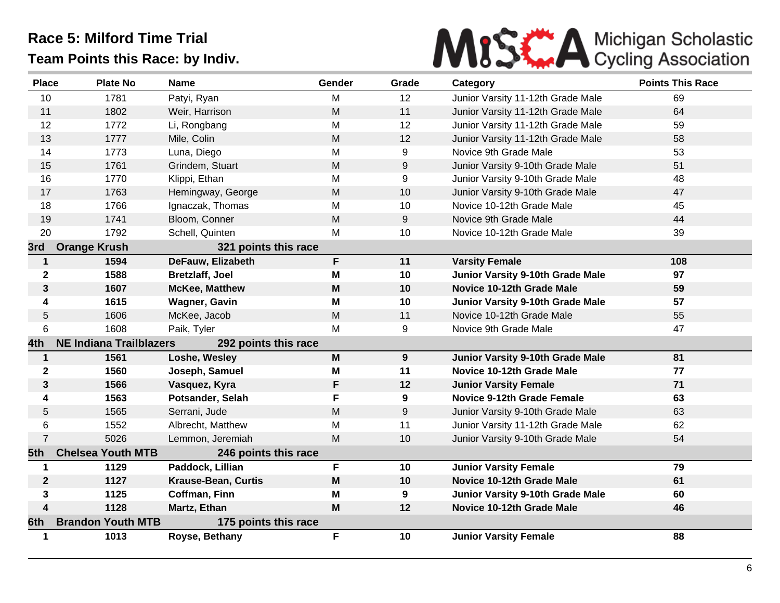

| <b>Place</b>   | <b>Plate No</b>                | <b>Name</b>                | <b>Gender</b> | Grade | Category                          | <b>Points This Race</b> |
|----------------|--------------------------------|----------------------------|---------------|-------|-----------------------------------|-------------------------|
| 10             | 1781                           | Patyi, Ryan                | M             | 12    | Junior Varsity 11-12th Grade Male | 69                      |
| 11             | 1802                           | Weir, Harrison             | M             | 11    | Junior Varsity 11-12th Grade Male | 64                      |
| 12             | 1772                           | Li, Rongbang               | M             | 12    | Junior Varsity 11-12th Grade Male | 59                      |
| 13             | 1777                           | Mile, Colin                | M             | 12    | Junior Varsity 11-12th Grade Male | 58                      |
| 14             | 1773                           | Luna, Diego                | M             | 9     | Novice 9th Grade Male             | 53                      |
| 15             | 1761                           | Grindem, Stuart            | M             | 9     | Junior Varsity 9-10th Grade Male  | 51                      |
| 16             | 1770                           | Klippi, Ethan              | M             | 9     | Junior Varsity 9-10th Grade Male  | 48                      |
| 17             | 1763                           | Hemingway, George          | M             | 10    | Junior Varsity 9-10th Grade Male  | 47                      |
| 18             | 1766                           | Ignaczak, Thomas           | M             | 10    | Novice 10-12th Grade Male         | 45                      |
| 19             | 1741                           | Bloom, Conner              | M             | 9     | Novice 9th Grade Male             | 44                      |
| 20             | 1792                           | Schell, Quinten            | M             | 10    | Novice 10-12th Grade Male         | 39                      |
| 3rd            | <b>Orange Krush</b>            | 321 points this race       |               |       |                                   |                         |
| $\mathbf{1}$   | 1594                           | DeFauw, Elizabeth          | F.            | 11    | <b>Varsity Female</b>             | 108                     |
| $\mathbf 2$    | 1588                           | <b>Bretzlaff, Joel</b>     | M             | 10    | Junior Varsity 9-10th Grade Male  | 97                      |
| 3              | 1607                           | <b>McKee, Matthew</b>      | M             | 10    | Novice 10-12th Grade Male         | 59                      |
| 4              | 1615                           | Wagner, Gavin              | M             | 10    | Junior Varsity 9-10th Grade Male  | 57                      |
| 5              | 1606                           | McKee, Jacob               | M             | 11    | Novice 10-12th Grade Male         | 55                      |
| 6              | 1608                           | Paik, Tyler                | M             | 9     | Novice 9th Grade Male             | 47                      |
| 4th            | <b>NE Indiana Trailblazers</b> | 292 points this race       |               |       |                                   |                         |
| $\mathbf{1}$   | 1561                           | Loshe, Wesley              | M             | 9     | Junior Varsity 9-10th Grade Male  | 81                      |
| $\mathbf 2$    | 1560                           | Joseph, Samuel             | M             | 11    | Novice 10-12th Grade Male         | 77                      |
| $\mathbf{3}$   | 1566                           | Vasquez, Kyra              | F             | 12    | <b>Junior Varsity Female</b>      | 71                      |
| 4              | 1563                           | Potsander, Selah           | F.            | 9     | <b>Novice 9-12th Grade Female</b> | 63                      |
| 5              | 1565                           | Serrani, Jude              | M             | 9     | Junior Varsity 9-10th Grade Male  | 63                      |
| 6              | 1552                           | Albrecht, Matthew          | M             | 11    | Junior Varsity 11-12th Grade Male | 62                      |
| $\overline{7}$ | 5026                           | Lemmon, Jeremiah           | M             | 10    | Junior Varsity 9-10th Grade Male  | 54                      |
| 5th.           | <b>Chelsea Youth MTB</b>       | 246 points this race       |               |       |                                   |                         |
| $\mathbf 1$    | 1129                           | Paddock, Lillian           | F             | 10    | <b>Junior Varsity Female</b>      | 79                      |
| $\mathbf{2}$   | 1127                           | <b>Krause-Bean, Curtis</b> | M             | 10    | Novice 10-12th Grade Male         | 61                      |
| 3              | 1125                           | Coffman, Finn              | M             | 9     | Junior Varsity 9-10th Grade Male  | 60                      |
| 4              | 1128                           | Martz, Ethan               | M             | 12    | <b>Novice 10-12th Grade Male</b>  | 46                      |
| 6th.           | <b>Brandon Youth MTB</b>       | 175 points this race       |               |       |                                   |                         |
| 1              | 1013                           | Royse, Bethany             | F             | 10    | <b>Junior Varsity Female</b>      | 88                      |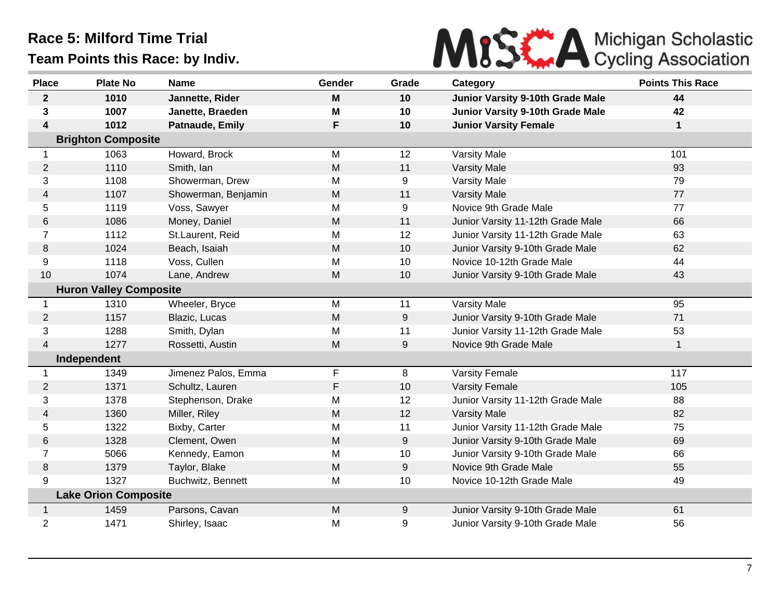

| <b>Place</b>   | <b>Plate No</b>               | <b>Name</b>         | Gender | Grade | Category                          | <b>Points This Race</b> |  |  |
|----------------|-------------------------------|---------------------|--------|-------|-----------------------------------|-------------------------|--|--|
| $\mathbf{2}$   | 1010                          | Jannette, Rider     | M      | 10    | Junior Varsity 9-10th Grade Male  | 44                      |  |  |
| 3              | 1007                          | Janette, Braeden    | M      | 10    | Junior Varsity 9-10th Grade Male  | 42                      |  |  |
| 4              | 1012                          | Patnaude, Emily     | F      | 10    | <b>Junior Varsity Female</b>      | 1                       |  |  |
|                | <b>Brighton Composite</b>     |                     |        |       |                                   |                         |  |  |
| 1              | 1063                          | Howard, Brock       | M      | 12    | Varsity Male                      | 101                     |  |  |
| $\overline{2}$ | 1110                          | Smith, Ian          | M      | 11    | <b>Varsity Male</b>               | 93                      |  |  |
| 3              | 1108                          | Showerman, Drew     | M      | 9     | Varsity Male                      | 79                      |  |  |
| 4              | 1107                          | Showerman, Benjamin | M      | 11    | <b>Varsity Male</b>               | 77                      |  |  |
| 5              | 1119                          | Voss, Sawyer        | M      | 9     | Novice 9th Grade Male             | 77                      |  |  |
| 6              | 1086                          | Money, Daniel       | M      | 11    | Junior Varsity 11-12th Grade Male | 66                      |  |  |
| $\overline{7}$ | 1112                          | St.Laurent, Reid    | M      | 12    | Junior Varsity 11-12th Grade Male | 63                      |  |  |
| 8              | 1024                          | Beach, Isaiah       | M      | 10    | Junior Varsity 9-10th Grade Male  | 62                      |  |  |
| 9              | 1118                          | Voss, Cullen        | M      | 10    | Novice 10-12th Grade Male         | 44                      |  |  |
| 10             | 1074                          | Lane, Andrew        | M      | 10    | Junior Varsity 9-10th Grade Male  | 43                      |  |  |
|                | <b>Huron Valley Composite</b> |                     |        |       |                                   |                         |  |  |
| $\mathbf{1}$   | 1310                          | Wheeler, Bryce      | M      | 11    | Varsity Male                      | 95                      |  |  |
| $\overline{2}$ | 1157                          | Blazic, Lucas       | M      | $9$   | Junior Varsity 9-10th Grade Male  | 71                      |  |  |
| 3              | 1288                          | Smith, Dylan        | M      | 11    | Junior Varsity 11-12th Grade Male | 53                      |  |  |
| 4              | 1277                          | Rossetti, Austin    | M      | 9     | Novice 9th Grade Male             | $\mathbf 1$             |  |  |
|                | Independent                   |                     |        |       |                                   |                         |  |  |
| 1              | 1349                          | Jimenez Palos, Emma | F      | 8     | Varsity Female                    | 117                     |  |  |
| $\overline{2}$ | 1371                          | Schultz, Lauren     | F      | 10    | <b>Varsity Female</b>             | 105                     |  |  |
| 3              | 1378                          | Stephenson, Drake   | M      | 12    | Junior Varsity 11-12th Grade Male | 88                      |  |  |
| 4              | 1360                          | Miller, Riley       | M      | 12    | <b>Varsity Male</b>               | 82                      |  |  |
| 5              | 1322                          | Bixby, Carter       | M      | 11    | Junior Varsity 11-12th Grade Male | 75                      |  |  |
| 6              | 1328                          | Clement, Owen       | M      | 9     | Junior Varsity 9-10th Grade Male  | 69                      |  |  |
| $\overline{7}$ | 5066                          | Kennedy, Eamon      | M      | 10    | Junior Varsity 9-10th Grade Male  | 66                      |  |  |
| 8              | 1379                          | Taylor, Blake       | M      | 9     | Novice 9th Grade Male             | 55                      |  |  |
| 9              | 1327                          | Buchwitz, Bennett   | M      | 10    | Novice 10-12th Grade Male         | 49                      |  |  |
|                | <b>Lake Orion Composite</b>   |                     |        |       |                                   |                         |  |  |
| $\mathbf 1$    | 1459                          | Parsons, Cavan      | M      | 9     | Junior Varsity 9-10th Grade Male  | 61                      |  |  |
| $\overline{2}$ | 1471                          | Shirley, Isaac      | M      | 9     | Junior Varsity 9-10th Grade Male  | 56                      |  |  |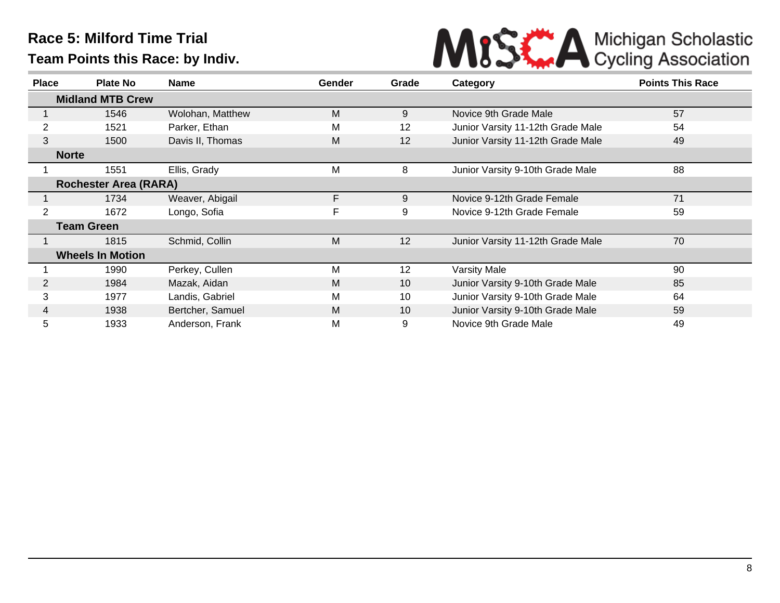

| <b>Place</b>                 | <b>Plate No</b>         | <b>Name</b>      | Gender | Grade           | Category                          | <b>Points This Race</b> |
|------------------------------|-------------------------|------------------|--------|-----------------|-----------------------------------|-------------------------|
|                              | <b>Midland MTB Crew</b> |                  |        |                 |                                   |                         |
|                              | 1546                    | Wolohan, Matthew | M      | 9               | Novice 9th Grade Male             | 57                      |
|                              | 1521                    | Parker, Ethan    | M      | 12              | Junior Varsity 11-12th Grade Male | 54                      |
| 3                            | 1500                    | Davis II, Thomas | M      | 12              | Junior Varsity 11-12th Grade Male | 49                      |
| <b>Norte</b>                 |                         |                  |        |                 |                                   |                         |
|                              | 1551                    | Ellis, Grady     | M      | 8               | Junior Varsity 9-10th Grade Male  | 88                      |
| <b>Rochester Area (RARA)</b> |                         |                  |        |                 |                                   |                         |
|                              | 1734                    | Weaver, Abigail  | F.     | 9               | Novice 9-12th Grade Female        | 71                      |
| $\overline{2}$               | 1672                    | Longo, Sofia     | F      | 9               | Novice 9-12th Grade Female        | 59                      |
|                              | <b>Team Green</b>       |                  |        |                 |                                   |                         |
|                              | 1815                    | Schmid, Collin   | M      | 12              | Junior Varsity 11-12th Grade Male | 70                      |
|                              | <b>Wheels In Motion</b> |                  |        |                 |                                   |                         |
|                              | 1990                    | Perkey, Cullen   | M      | 12              | <b>Varsity Male</b>               | 90                      |
| $\overline{2}$               | 1984                    | Mazak, Aidan     | M      | 10              | Junior Varsity 9-10th Grade Male  | 85                      |
| 3                            | 1977                    | Landis, Gabriel  | М      | 10              | Junior Varsity 9-10th Grade Male  | 64                      |
| 4                            | 1938                    | Bertcher, Samuel | M      | 10 <sup>°</sup> | Junior Varsity 9-10th Grade Male  | 59                      |
| 5                            | 1933                    | Anderson, Frank  | М      | 9               | Novice 9th Grade Male             | 49                      |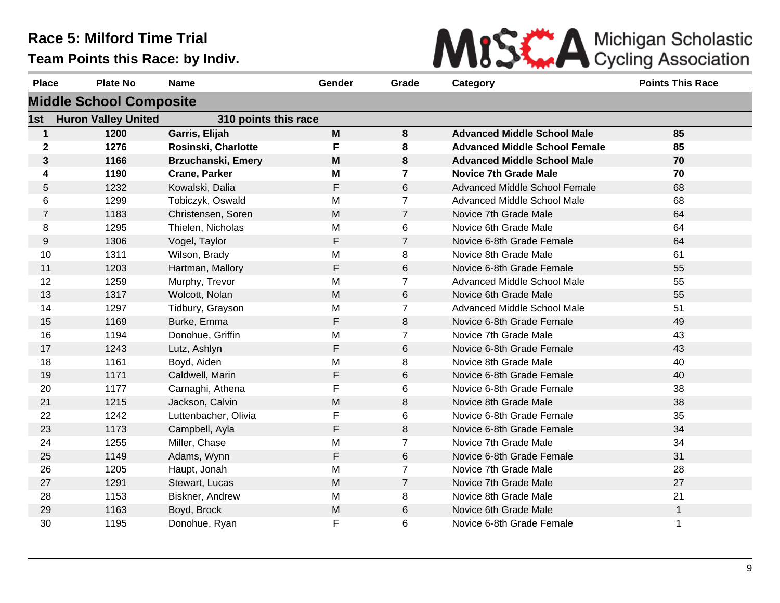

| <b>Place</b>   | <b>Plate No</b>                | <b>Name</b>               | Gender | Grade          | Category                             | <b>Points This Race</b> |
|----------------|--------------------------------|---------------------------|--------|----------------|--------------------------------------|-------------------------|
|                | <b>Middle School Composite</b> |                           |        |                |                                      |                         |
| 1st            | <b>Huron Valley United</b>     | 310 points this race      |        |                |                                      |                         |
| $\mathbf 1$    | 1200                           | Garris, Elijah            | M      | 8              | <b>Advanced Middle School Male</b>   | 85                      |
| $\mathbf 2$    | 1276                           | Rosinski, Charlotte       | F      | 8              | <b>Advanced Middle School Female</b> | 85                      |
| 3              | 1166                           | <b>Brzuchanski, Emery</b> | M      | 8              | <b>Advanced Middle School Male</b>   | 70                      |
| 4              | 1190                           | <b>Crane, Parker</b>      | M      | 7              | <b>Novice 7th Grade Male</b>         | 70                      |
| 5              | 1232                           | Kowalski, Dalia           | F      | 6              | Advanced Middle School Female        | 68                      |
| 6              | 1299                           | Tobiczyk, Oswald          | M      | $\overline{7}$ | Advanced Middle School Male          | 68                      |
| $\overline{7}$ | 1183                           | Christensen, Soren        | M      | $\overline{7}$ | Novice 7th Grade Male                | 64                      |
| 8              | 1295                           | Thielen, Nicholas         | M      | 6              | Novice 6th Grade Male                | 64                      |
| 9              | 1306                           | Vogel, Taylor             | F      | $\overline{7}$ | Novice 6-8th Grade Female            | 64                      |
| 10             | 1311                           | Wilson, Brady             | M      | 8              | Novice 8th Grade Male                | 61                      |
| 11             | 1203                           | Hartman, Mallory          | F      | 6              | Novice 6-8th Grade Female            | 55                      |
| 12             | 1259                           | Murphy, Trevor            | M      | $\overline{7}$ | Advanced Middle School Male          | 55                      |
| 13             | 1317                           | Wolcott, Nolan            | M      | $6\phantom{1}$ | Novice 6th Grade Male                | 55                      |
| 14             | 1297                           | Tidbury, Grayson          | M      | $\overline{7}$ | Advanced Middle School Male          | 51                      |
| 15             | 1169                           | Burke, Emma               | F      | 8              | Novice 6-8th Grade Female            | 49                      |
| 16             | 1194                           | Donohue, Griffin          | M      | $\overline{7}$ | Novice 7th Grade Male                | 43                      |
| 17             | 1243                           | Lutz, Ashlyn              | F      | $6\phantom{1}$ | Novice 6-8th Grade Female            | 43                      |
| 18             | 1161                           | Boyd, Aiden               | M      | 8              | Novice 8th Grade Male                | 40                      |
| 19             | 1171                           | Caldwell, Marin           | F      | 6              | Novice 6-8th Grade Female            | 40                      |
| 20             | 1177                           | Carnaghi, Athena          | F      | 6              | Novice 6-8th Grade Female            | 38                      |
| 21             | 1215                           | Jackson, Calvin           | M      | 8              | Novice 8th Grade Male                | 38                      |
| 22             | 1242                           | Luttenbacher, Olivia      | F      | 6              | Novice 6-8th Grade Female            | 35                      |
| 23             | 1173                           | Campbell, Ayla            | F      | 8              | Novice 6-8th Grade Female            | 34                      |
| 24             | 1255                           | Miller, Chase             | M      | $\overline{7}$ | Novice 7th Grade Male                | 34                      |
| 25             | 1149                           | Adams, Wynn               | F      | 6              | Novice 6-8th Grade Female            | 31                      |
| 26             | 1205                           | Haupt, Jonah              | M      | $\overline{7}$ | Novice 7th Grade Male                | 28                      |
| 27             | 1291                           | Stewart, Lucas            | M      | $\overline{7}$ | Novice 7th Grade Male                | 27                      |
| 28             | 1153                           | Biskner, Andrew           | M      | 8              | Novice 8th Grade Male                | 21                      |
| 29             | 1163                           | Boyd, Brock               | M      | 6              | Novice 6th Grade Male                | $\mathbf{1}$            |
| 30             | 1195                           | Donohue, Ryan             | F      | 6              | Novice 6-8th Grade Female            | $\mathbf 1$             |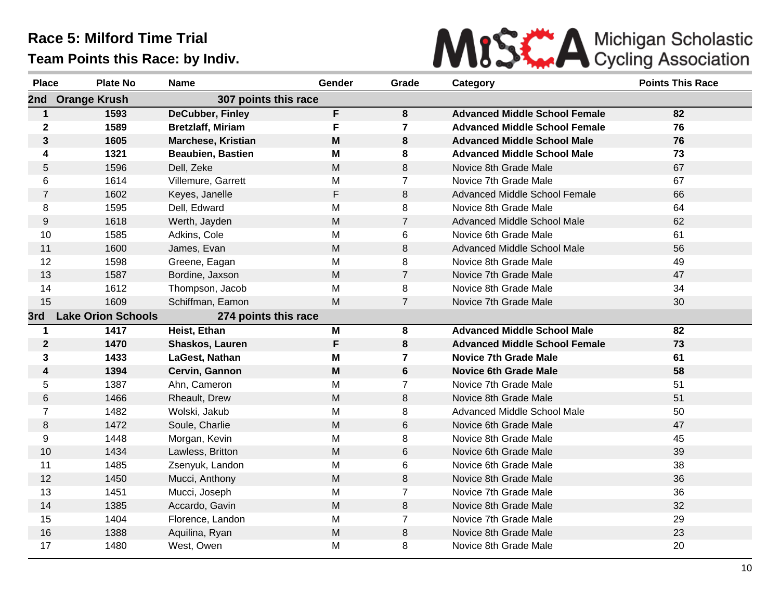

| <b>Place</b>   | <b>Plate No</b>           | <b>Name</b>               | Gender                                                                                | Grade          | Category                             | <b>Points This Race</b> |
|----------------|---------------------------|---------------------------|---------------------------------------------------------------------------------------|----------------|--------------------------------------|-------------------------|
| 2nd            | <b>Orange Krush</b>       | 307 points this race      |                                                                                       |                |                                      |                         |
| $\mathbf{1}$   | 1593                      | <b>DeCubber, Finley</b>   | F                                                                                     | 8              | <b>Advanced Middle School Female</b> | 82                      |
| $\mathbf 2$    | 1589                      | <b>Bretzlaff, Miriam</b>  | F                                                                                     | $\overline{7}$ | <b>Advanced Middle School Female</b> | 76                      |
| 3              | 1605                      | <b>Marchese, Kristian</b> | M                                                                                     | 8              | <b>Advanced Middle School Male</b>   | 76                      |
| 4              | 1321                      | <b>Beaubien, Bastien</b>  | M                                                                                     | 8              | <b>Advanced Middle School Male</b>   | 73                      |
| 5              | 1596                      | Dell, Zeke                | M                                                                                     | 8              | Novice 8th Grade Male                | 67                      |
| 6              | 1614                      | Villemure, Garrett        | M                                                                                     | $\overline{7}$ | Novice 7th Grade Male                | 67                      |
| $\overline{7}$ | 1602                      | Keyes, Janelle            | F                                                                                     | 8              | <b>Advanced Middle School Female</b> | 66                      |
| 8              | 1595                      | Dell, Edward              | M                                                                                     | 8              | Novice 8th Grade Male                | 64                      |
| 9              | 1618                      | Werth, Jayden             | ${\sf M}$                                                                             | $\overline{7}$ | Advanced Middle School Male          | 62                      |
| 10             | 1585                      | Adkins, Cole              | M                                                                                     | 6              | Novice 6th Grade Male                | 61                      |
| 11             | 1600                      | James, Evan               | M                                                                                     | 8              | Advanced Middle School Male          | 56                      |
| 12             | 1598                      | Greene, Eagan             | M                                                                                     | 8              | Novice 8th Grade Male                | 49                      |
| 13             | 1587                      | Bordine, Jaxson           | M                                                                                     | $\overline{7}$ | Novice 7th Grade Male                | 47                      |
| 14             | 1612                      | Thompson, Jacob           | M                                                                                     | 8              | Novice 8th Grade Male                | 34                      |
| 15             | 1609                      | Schiffman, Eamon          | M                                                                                     | $\overline{7}$ | Novice 7th Grade Male                | 30                      |
| 3rd            | <b>Lake Orion Schools</b> | 274 points this race      |                                                                                       |                |                                      |                         |
| 1              | 1417                      | Heist, Ethan              | M                                                                                     | 8              | <b>Advanced Middle School Male</b>   | 82                      |
| $\mathbf 2$    | 1470                      | Shaskos, Lauren           | F                                                                                     | 8              | <b>Advanced Middle School Female</b> | 73                      |
| 3              | 1433                      | LaGest, Nathan            | M                                                                                     | 7              | <b>Novice 7th Grade Male</b>         | 61                      |
| 4              | 1394                      | Cervin, Gannon            | $\mathsf{M}% _{T}=\mathsf{M}_{T}\!\left( a,b\right) ,\ \mathsf{M}_{T}=\mathsf{M}_{T}$ | $6\phantom{a}$ | <b>Novice 6th Grade Male</b>         | 58                      |
| 5              | 1387                      | Ahn, Cameron              | M                                                                                     | $\overline{7}$ | Novice 7th Grade Male                | 51                      |
| 6              | 1466                      | Rheault, Drew             | M                                                                                     | 8              | Novice 8th Grade Male                | 51                      |
| $\overline{7}$ | 1482                      | Wolski, Jakub             | M                                                                                     | 8              | Advanced Middle School Male          | 50                      |
| 8              | 1472                      | Soule, Charlie            | M                                                                                     | 6              | Novice 6th Grade Male                | 47                      |
| 9              | 1448                      | Morgan, Kevin             | M                                                                                     | 8              | Novice 8th Grade Male                | 45                      |
| 10             | 1434                      | Lawless, Britton          | M                                                                                     | 6              | Novice 6th Grade Male                | 39                      |
| 11             | 1485                      | Zsenyuk, Landon           | M                                                                                     | 6              | Novice 6th Grade Male                | 38                      |
| 12             | 1450                      | Mucci, Anthony            | M                                                                                     | 8              | Novice 8th Grade Male                | 36                      |
| 13             | 1451                      | Mucci, Joseph             | M                                                                                     | $\overline{7}$ | Novice 7th Grade Male                | 36                      |
| 14             | 1385                      | Accardo, Gavin            | M                                                                                     | 8              | Novice 8th Grade Male                | 32                      |
| 15             | 1404                      | Florence, Landon          | M                                                                                     | $\overline{7}$ | Novice 7th Grade Male                | 29                      |
| 16             | 1388                      | Aquilina, Ryan            | M                                                                                     | 8              | Novice 8th Grade Male                | 23                      |
| 17             | 1480                      | West, Owen                | M                                                                                     | 8              | Novice 8th Grade Male                | 20                      |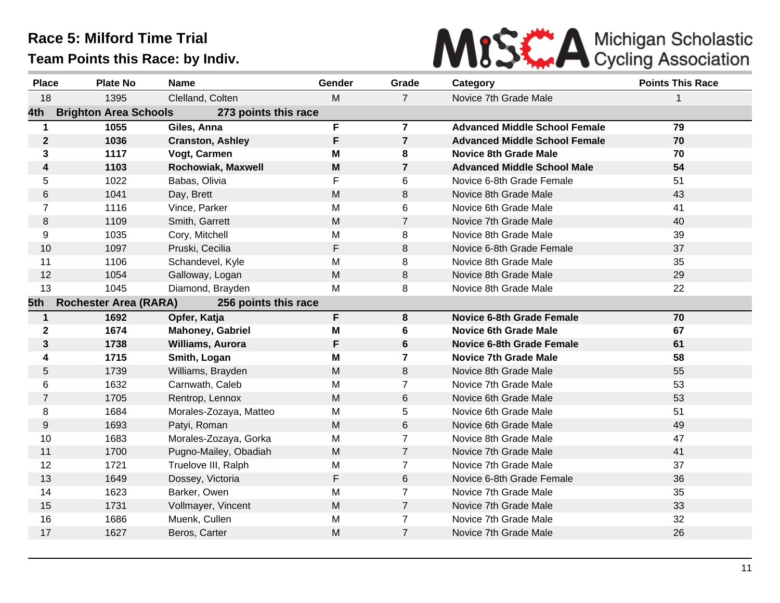

| <b>Place</b>   | <b>Plate No</b>              | <b>Name</b>               | Gender      | Grade          | Category                             | <b>Points This Race</b> |
|----------------|------------------------------|---------------------------|-------------|----------------|--------------------------------------|-------------------------|
| 18             | 1395                         | Clelland, Colten          | M           | $\overline{7}$ | Novice 7th Grade Male                | 1                       |
| 4th            | <b>Brighton Area Schools</b> | 273 points this race      |             |                |                                      |                         |
| $\mathbf 1$    | 1055                         | Giles, Anna               | F           | $\overline{7}$ | <b>Advanced Middle School Female</b> | 79                      |
| $\mathbf{2}$   | 1036                         | <b>Cranston, Ashley</b>   | F           | $\overline{7}$ | <b>Advanced Middle School Female</b> | 70                      |
| 3              | 1117                         | Vogt, Carmen              | Μ           | 8              | <b>Novice 8th Grade Male</b>         | 70                      |
| 4              | 1103                         | <b>Rochowiak, Maxwell</b> | M           | $\overline{7}$ | <b>Advanced Middle School Male</b>   | 54                      |
| 5              | 1022                         | Babas, Olivia             | F           | 6              | Novice 6-8th Grade Female            | 51                      |
| 6              | 1041                         | Day, Brett                | M           | 8              | Novice 8th Grade Male                | 43                      |
| $\overline{7}$ | 1116                         | Vince, Parker             | M           | 6              | Novice 6th Grade Male                | 41                      |
| 8              | 1109                         | Smith, Garrett            | M           | $\overline{7}$ | Novice 7th Grade Male                | 40                      |
| 9              | 1035                         | Cory, Mitchell            | M           | 8              | Novice 8th Grade Male                | 39                      |
| 10             | 1097                         | Pruski, Cecilia           | F           | 8              | Novice 6-8th Grade Female            | 37                      |
| 11             | 1106                         | Schandevel, Kyle          | M           | 8              | Novice 8th Grade Male                | 35                      |
| 12             | 1054                         | Galloway, Logan           | M           | 8              | Novice 8th Grade Male                | 29                      |
| 13             | 1045                         | Diamond, Brayden          | Μ           | 8              | Novice 8th Grade Male                | 22                      |
| 5th            | <b>Rochester Area (RARA)</b> | 256 points this race      |             |                |                                      |                         |
| 1              | 1692                         | Opfer, Katja              | F           | 8              | <b>Novice 6-8th Grade Female</b>     | 70                      |
| $\mathbf 2$    | 1674                         | <b>Mahoney, Gabriel</b>   | M           | 6              | <b>Novice 6th Grade Male</b>         | 67                      |
| 3              | 1738                         | <b>Williams, Aurora</b>   | F           | 6              | <b>Novice 6-8th Grade Female</b>     | 61                      |
| 4              | 1715                         | Smith, Logan              | Μ           | $\mathbf{7}$   | <b>Novice 7th Grade Male</b>         | 58                      |
| 5              | 1739                         | Williams, Brayden         | M           | 8              | Novice 8th Grade Male                | 55                      |
| 6              | 1632                         | Carnwath, Caleb           | M           | $\overline{7}$ | Novice 7th Grade Male                | 53                      |
| $\overline{7}$ | 1705                         | Rentrop, Lennox           | M           | 6              | Novice 6th Grade Male                | 53                      |
| 8              | 1684                         | Morales-Zozaya, Matteo    | M           | 5              | Novice 6th Grade Male                | 51                      |
| 9              | 1693                         | Patyi, Roman              | M           | 6              | Novice 6th Grade Male                | 49                      |
| 10             | 1683                         | Morales-Zozaya, Gorka     | M           | $\overline{7}$ | Novice 8th Grade Male                | 47                      |
| 11             | 1700                         | Pugno-Mailey, Obadiah     | M           | $\overline{7}$ | Novice 7th Grade Male                | 41                      |
| 12             | 1721                         | Truelove III, Ralph       | M           | $\overline{7}$ | Novice 7th Grade Male                | 37                      |
| 13             | 1649                         | Dossey, Victoria          | $\mathsf F$ | 6              | Novice 6-8th Grade Female            | 36                      |
| 14             | 1623                         | Barker, Owen              | M           | $\overline{7}$ | Novice 7th Grade Male                | 35                      |
| 15             | 1731                         | Vollmayer, Vincent        | M           | $\mathbf{7}$   | Novice 7th Grade Male                | 33                      |
| 16             | 1686                         | Muenk, Cullen             | M           | $\overline{7}$ | Novice 7th Grade Male                | 32                      |
| 17             | 1627                         | Beros, Carter             | M           | $\overline{7}$ | Novice 7th Grade Male                | 26                      |
|                |                              |                           |             |                |                                      |                         |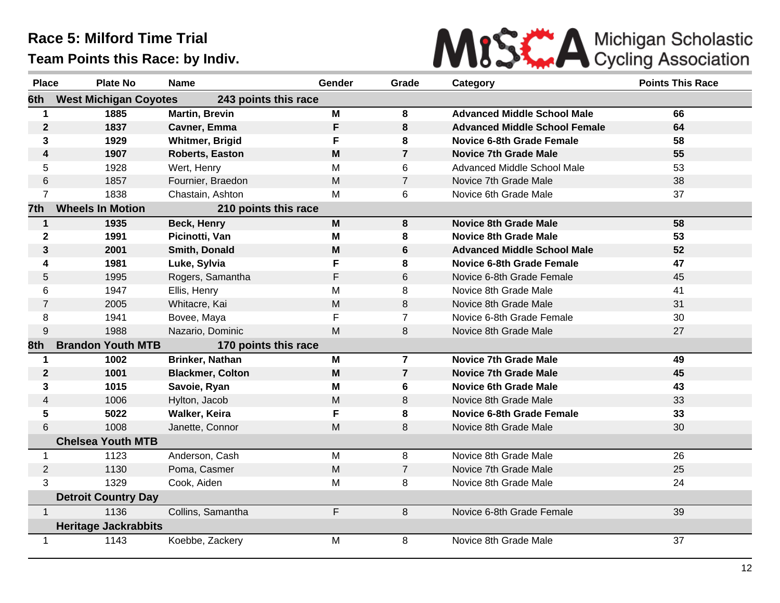

| <b>Place</b>         | <b>Plate No</b>              | <b>Name</b>             | Gender | Grade          | Category                             | <b>Points This Race</b> |
|----------------------|------------------------------|-------------------------|--------|----------------|--------------------------------------|-------------------------|
| 6th                  | <b>West Michigan Coyotes</b> | 243 points this race    |        |                |                                      |                         |
| $\blacktriangleleft$ | 1885                         | <b>Martin, Brevin</b>   | M      | 8              | <b>Advanced Middle School Male</b>   | 66                      |
| $\mathbf 2$          | 1837                         | Cavner, Emma            | F      | 8              | <b>Advanced Middle School Female</b> | 64                      |
| 3                    | 1929                         | <b>Whitmer, Brigid</b>  | F      | 8              | <b>Novice 6-8th Grade Female</b>     | 58                      |
| 4                    | 1907                         | <b>Roberts, Easton</b>  | M      | $\overline{7}$ | <b>Novice 7th Grade Male</b>         | 55                      |
| 5                    | 1928                         | Wert, Henry             | M      | 6              | Advanced Middle School Male          | 53                      |
| 6                    | 1857                         | Fournier, Braedon       | M      | $\overline{7}$ | Novice 7th Grade Male                | 38                      |
| $\overline{7}$       | 1838                         | Chastain, Ashton        | M      | 6              | Novice 6th Grade Male                | 37                      |
| 7th                  | <b>Wheels In Motion</b>      | 210 points this race    |        |                |                                      |                         |
| $\mathbf 1$          | 1935                         | Beck, Henry             | M      | 8              | <b>Novice 8th Grade Male</b>         | 58                      |
| $\mathbf 2$          | 1991                         | Picinotti, Van          | M      | 8              | <b>Novice 8th Grade Male</b>         | 53                      |
| 3                    | 2001                         | Smith, Donald           | M      | $6\phantom{1}$ | <b>Advanced Middle School Male</b>   | 52                      |
| 4                    | 1981                         | Luke, Sylvia            | F.     | 8              | <b>Novice 6-8th Grade Female</b>     | 47                      |
| 5                    | 1995                         | Rogers, Samantha        | F      | 6              | Novice 6-8th Grade Female            | 45                      |
| 6                    | 1947                         | Ellis, Henry            | M      | 8              | Novice 8th Grade Male                | 41                      |
| $\overline{7}$       | 2005                         | Whitacre, Kai           | M      | 8              | Novice 8th Grade Male                | 31                      |
| 8                    | 1941                         | Bovee, Maya             | F      | $\overline{7}$ | Novice 6-8th Grade Female            | 30                      |
| 9                    | 1988                         | Nazario, Dominic        | M      | 8              | Novice 8th Grade Male                | 27                      |
| 8th                  | <b>Brandon Youth MTB</b>     | 170 points this race    |        |                |                                      |                         |
| 1                    | 1002                         | Brinker, Nathan         | M      | $\overline{7}$ | <b>Novice 7th Grade Male</b>         | 49                      |
| $\mathbf{2}$         | 1001                         | <b>Blackmer, Colton</b> | M      | $\overline{7}$ | <b>Novice 7th Grade Male</b>         | 45                      |
| 3                    | 1015                         | Savoie, Ryan            | M      | 6              | <b>Novice 6th Grade Male</b>         | 43                      |
| 4                    | 1006                         | Hylton, Jacob           | M      | 8              | Novice 8th Grade Male                | 33                      |
| 5                    | 5022                         | Walker, Keira           | F      | 8              | <b>Novice 6-8th Grade Female</b>     | 33                      |
| 6                    | 1008                         | Janette, Connor         | M      | 8              | Novice 8th Grade Male                | 30                      |
|                      | <b>Chelsea Youth MTB</b>     |                         |        |                |                                      |                         |
| $\mathbf{1}$         | 1123                         | Anderson, Cash          | M      | 8              | Novice 8th Grade Male                | 26                      |
| $\overline{2}$       | 1130                         | Poma, Casmer            | M      | $\overline{7}$ | Novice 7th Grade Male                | 25                      |
| 3                    | 1329                         | Cook, Aiden             | M      | 8              | Novice 8th Grade Male                | 24                      |
|                      | <b>Detroit Country Day</b>   |                         |        |                |                                      |                         |
| $\mathbf{1}$         | 1136                         | Collins, Samantha       | F      | 8              | Novice 6-8th Grade Female            | 39                      |
|                      | <b>Heritage Jackrabbits</b>  |                         |        |                |                                      |                         |
| 1                    | 1143                         | Koebbe, Zackery         | M      | 8              | Novice 8th Grade Male                | 37                      |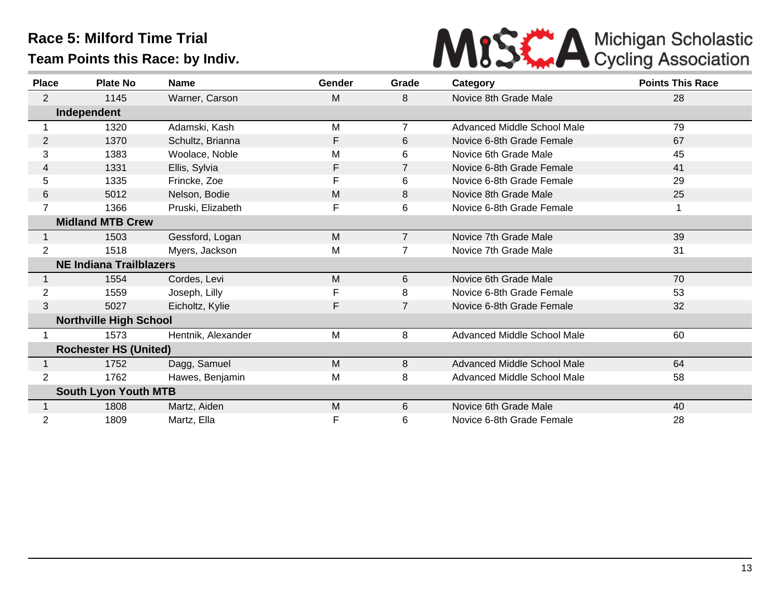

| <b>Place</b>   | <b>Plate No</b>                | <b>Name</b>        | Gender | Grade          | Category                           | <b>Points This Race</b> |
|----------------|--------------------------------|--------------------|--------|----------------|------------------------------------|-------------------------|
| $\overline{2}$ | 1145                           | Warner, Carson     | M      | 8              | Novice 8th Grade Male              | 28                      |
|                | Independent                    |                    |        |                |                                    |                         |
|                | 1320                           | Adamski, Kash      | M      |                | <b>Advanced Middle School Male</b> | 79                      |
| $\overline{2}$ | 1370                           | Schultz, Brianna   | F      | 6              | Novice 6-8th Grade Female          | 67                      |
| 3              | 1383                           | Woolace, Noble     | M      | 6              | Novice 6th Grade Male              | 45                      |
| 4              | 1331                           | Ellis, Sylvia      | F      | $\overline{7}$ | Novice 6-8th Grade Female          | 41                      |
| 5              | 1335                           | Frincke, Zoe       | F      | 6              | Novice 6-8th Grade Female          | 29                      |
| 6              | 5012                           | Nelson, Bodie      | M      | 8              | Novice 8th Grade Male              | 25                      |
| 7              | 1366                           | Pruski, Elizabeth  | F      | 6              | Novice 6-8th Grade Female          |                         |
|                | <b>Midland MTB Crew</b>        |                    |        |                |                                    |                         |
|                | 1503                           | Gessford, Logan    | M      | $\overline{7}$ | Novice 7th Grade Male              | 39                      |
| 2              | 1518                           | Myers, Jackson     | Μ      |                | Novice 7th Grade Male              | 31                      |
|                | <b>NE Indiana Trailblazers</b> |                    |        |                |                                    |                         |
|                | 1554                           | Cordes, Levi       | M      | 6              | Novice 6th Grade Male              | 70                      |
| 2              | 1559                           | Joseph, Lilly      | F      | 8              | Novice 6-8th Grade Female          | 53                      |
| 3              | 5027                           | Eicholtz, Kylie    | F      |                | Novice 6-8th Grade Female          | 32                      |
|                | <b>Northville High School</b>  |                    |        |                |                                    |                         |
|                | 1573                           | Hentnik, Alexander | M      | 8              | Advanced Middle School Male        | 60                      |
|                | <b>Rochester HS (United)</b>   |                    |        |                |                                    |                         |
|                | 1752                           | Dagg, Samuel       | M      | 8              | <b>Advanced Middle School Male</b> | 64                      |
| 2              | 1762                           | Hawes, Benjamin    | Μ      | 8              | Advanced Middle School Male        | 58                      |
|                | <b>South Lyon Youth MTB</b>    |                    |        |                |                                    |                         |
|                | 1808                           | Martz, Aiden       | M      | 6              | Novice 6th Grade Male              | 40                      |
| 2              | 1809                           | Martz, Ella        | F      | 6              | Novice 6-8th Grade Female          | 28                      |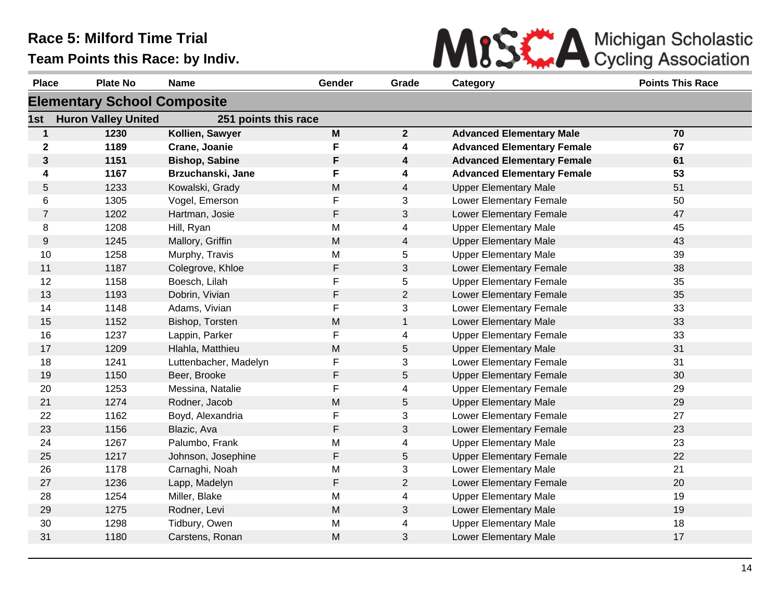

| <b>Place</b>   | <b>Plate No</b>                    | <b>Name</b>           | Gender    | Grade          | <b>Category</b>                   | <b>Points This Race</b> |
|----------------|------------------------------------|-----------------------|-----------|----------------|-----------------------------------|-------------------------|
|                | <b>Elementary School Composite</b> |                       |           |                |                                   |                         |
| 1st            | <b>Huron Valley United</b>         | 251 points this race  |           |                |                                   |                         |
| $\mathbf{1}$   | 1230                               | Kollien, Sawyer       | M         | $\overline{2}$ | <b>Advanced Elementary Male</b>   | 70                      |
| $\mathbf 2$    | 1189                               | Crane, Joanie         | F         | 4              | <b>Advanced Elementary Female</b> | 67                      |
| $\mathbf{3}$   | 1151                               | <b>Bishop, Sabine</b> | F         | 4              | <b>Advanced Elementary Female</b> | 61                      |
| 4              | 1167                               | Brzuchanski, Jane     | F         | 4              | <b>Advanced Elementary Female</b> | 53                      |
| 5              | 1233                               | Kowalski, Grady       | M         | 4              | <b>Upper Elementary Male</b>      | 51                      |
| 6              | 1305                               | Vogel, Emerson        | F         | 3              | Lower Elementary Female           | 50                      |
| $\overline{7}$ | 1202                               | Hartman, Josie        | F         | 3              | Lower Elementary Female           | 47                      |
| 8              | 1208                               | Hill, Ryan            | M         | 4              | <b>Upper Elementary Male</b>      | 45                      |
| 9              | 1245                               | Mallory, Griffin      | M         | $\overline{4}$ | <b>Upper Elementary Male</b>      | 43                      |
| 10             | 1258                               | Murphy, Travis        | M         | 5              | <b>Upper Elementary Male</b>      | 39                      |
| 11             | 1187                               | Colegrove, Khloe      | F         | 3              | Lower Elementary Female           | 38                      |
| 12             | 1158                               | Boesch, Lilah         | F         | 5              | <b>Upper Elementary Female</b>    | 35                      |
| 13             | 1193                               | Dobrin, Vivian        | F         | $\overline{2}$ | Lower Elementary Female           | 35                      |
| 14             | 1148                               | Adams, Vivian         | F         | 3              | Lower Elementary Female           | 33                      |
| 15             | 1152                               | Bishop, Torsten       | M         | $\mathbf{1}$   | Lower Elementary Male             | 33                      |
| 16             | 1237                               | Lappin, Parker        | F         | 4              | <b>Upper Elementary Female</b>    | 33                      |
| 17             | 1209                               | Hlahla, Matthieu      | M         | 5              | <b>Upper Elementary Male</b>      | 31                      |
| 18             | 1241                               | Luttenbacher, Madelyn | F         | 3              | Lower Elementary Female           | 31                      |
| 19             | 1150                               | Beer, Brooke          | F         | 5              | <b>Upper Elementary Female</b>    | 30                      |
| 20             | 1253                               | Messina, Natalie      | F         | 4              | <b>Upper Elementary Female</b>    | 29                      |
| 21             | 1274                               | Rodner, Jacob         | M         | 5              | <b>Upper Elementary Male</b>      | 29                      |
| 22             | 1162                               | Boyd, Alexandria      | F         | 3              | Lower Elementary Female           | 27                      |
| 23             | 1156                               | Blazic, Ava           | F         | 3              | Lower Elementary Female           | 23                      |
| 24             | 1267                               | Palumbo, Frank        | M         | 4              | <b>Upper Elementary Male</b>      | 23                      |
| 25             | 1217                               | Johnson, Josephine    | F         | 5              | <b>Upper Elementary Female</b>    | 22                      |
| 26             | 1178                               | Carnaghi, Noah        | M         | 3              | Lower Elementary Male             | 21                      |
| 27             | 1236                               | Lapp, Madelyn         | F         | $\overline{2}$ | Lower Elementary Female           | 20                      |
| 28             | 1254                               | Miller, Blake         | M         | 4              | <b>Upper Elementary Male</b>      | 19                      |
| 29             | 1275                               | Rodner, Levi          | ${\sf M}$ | 3              | Lower Elementary Male             | 19                      |
| 30             | 1298                               | Tidbury, Owen         | M         | 4              | <b>Upper Elementary Male</b>      | 18                      |
| 31             | 1180                               | Carstens, Ronan       | M         | 3              | Lower Elementary Male             | 17                      |
|                |                                    |                       |           |                |                                   |                         |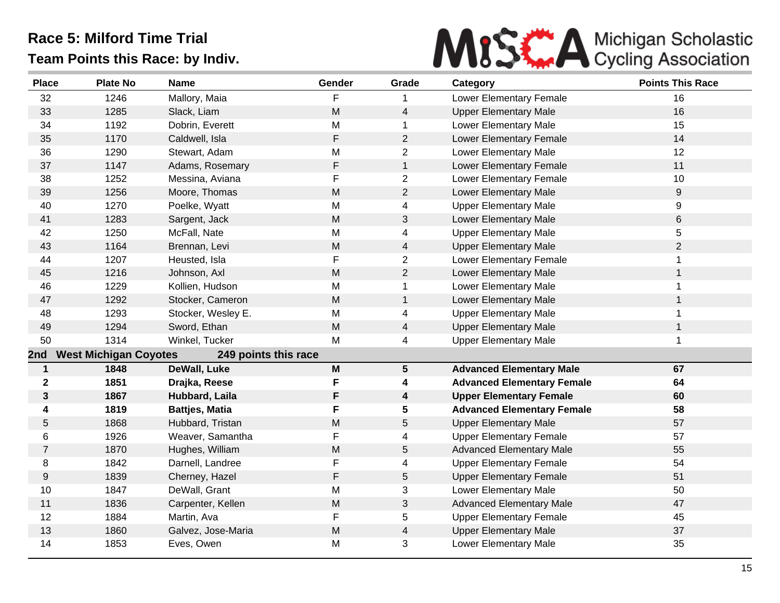

| <b>Place</b>   | <b>Plate No</b>              | <b>Name</b>           | Gender    | Grade           | Category                          | <b>Points This Race</b> |
|----------------|------------------------------|-----------------------|-----------|-----------------|-----------------------------------|-------------------------|
| 32             | 1246                         | Mallory, Maia         | F         |                 | Lower Elementary Female           | 16                      |
| 33             | 1285                         | Slack, Liam           | M         | $\overline{4}$  | <b>Upper Elementary Male</b>      | 16                      |
| 34             | 1192                         | Dobrin, Everett       | M         | 1               | Lower Elementary Male             | 15                      |
| 35             | 1170                         | Caldwell, Isla        | F         | $\overline{2}$  | Lower Elementary Female           | 14                      |
| 36             | 1290                         | Stewart, Adam         | M         | $\overline{2}$  | Lower Elementary Male             | 12                      |
| 37             | 1147                         | Adams, Rosemary       | F         | $\mathbf{1}$    | Lower Elementary Female           | 11                      |
| 38             | 1252                         | Messina, Aviana       | F         | $\overline{c}$  | Lower Elementary Female           | 10                      |
| 39             | 1256                         | Moore, Thomas         | M         | $\overline{2}$  | Lower Elementary Male             | 9                       |
| 40             | 1270                         | Poelke, Wyatt         | M         | 4               | <b>Upper Elementary Male</b>      | 9                       |
| 41             | 1283                         | Sargent, Jack         | ${\sf M}$ | $\sqrt{3}$      | Lower Elementary Male             | 6                       |
| 42             | 1250                         | McFall, Nate          | M         | 4               | <b>Upper Elementary Male</b>      | 5                       |
| 43             | 1164                         | Brennan, Levi         | M         | $\overline{4}$  | <b>Upper Elementary Male</b>      | $\overline{2}$          |
| 44             | 1207                         | Heusted, Isla         | F         | $\overline{2}$  | Lower Elementary Female           | $\mathbf{1}$            |
| 45             | 1216                         | Johnson, Axl          | M         | $\overline{2}$  | Lower Elementary Male             | $\mathbf{1}$            |
| 46             | 1229                         | Kollien, Hudson       | M         | 1               | Lower Elementary Male             | 1                       |
| 47             | 1292                         | Stocker, Cameron      | M         | $\mathbf 1$     | Lower Elementary Male             | $\mathbf 1$             |
| 48             | 1293                         | Stocker, Wesley E.    | M         | $\overline{4}$  | <b>Upper Elementary Male</b>      | 1                       |
| 49             | 1294                         | Sword, Ethan          | M         | 4               | <b>Upper Elementary Male</b>      | $\mathbf{1}$            |
| 50             | 1314                         | Winkel, Tucker        | M         | 4               | <b>Upper Elementary Male</b>      | $\mathbf 1$             |
| 2nd            | <b>West Michigan Coyotes</b> | 249 points this race  |           |                 |                                   |                         |
| 1              | 1848                         | DeWall, Luke          | M         | $5\phantom{.0}$ | <b>Advanced Elementary Male</b>   | 67                      |
| $\mathbf 2$    | 1851                         | Drajka, Reese         | F         | 4               | <b>Advanced Elementary Female</b> | 64                      |
| 3              | 1867                         | Hubbard, Laila        | F         | 4               | <b>Upper Elementary Female</b>    | 60                      |
| 4              | 1819                         | <b>Battjes, Matia</b> | F         | 5               | <b>Advanced Elementary Female</b> | 58                      |
| 5              | 1868                         | Hubbard, Tristan      | M         | 5               | <b>Upper Elementary Male</b>      | 57                      |
| 6              | 1926                         | Weaver, Samantha      | F         | 4               | <b>Upper Elementary Female</b>    | 57                      |
| $\overline{7}$ | 1870                         | Hughes, William       | ${\sf M}$ | $\sqrt{5}$      | <b>Advanced Elementary Male</b>   | 55                      |
| 8              | 1842                         | Darnell, Landree      | F         | 4               | <b>Upper Elementary Female</b>    | 54                      |
| 9              | 1839                         | Cherney, Hazel        | F         | 5               | <b>Upper Elementary Female</b>    | 51                      |
| 10             | 1847                         | DeWall, Grant         | M         | 3               | Lower Elementary Male             | 50                      |
| 11             | 1836                         | Carpenter, Kellen     | M         | 3               | <b>Advanced Elementary Male</b>   | 47                      |
| 12             | 1884                         | Martin, Ava           | F         | 5               | <b>Upper Elementary Female</b>    | 45                      |
| 13             | 1860                         | Galvez, Jose-Maria    | M         | 4               | <b>Upper Elementary Male</b>      | 37                      |
| 14             | 1853                         | Eves, Owen            | M         | 3               | Lower Elementary Male             | 35                      |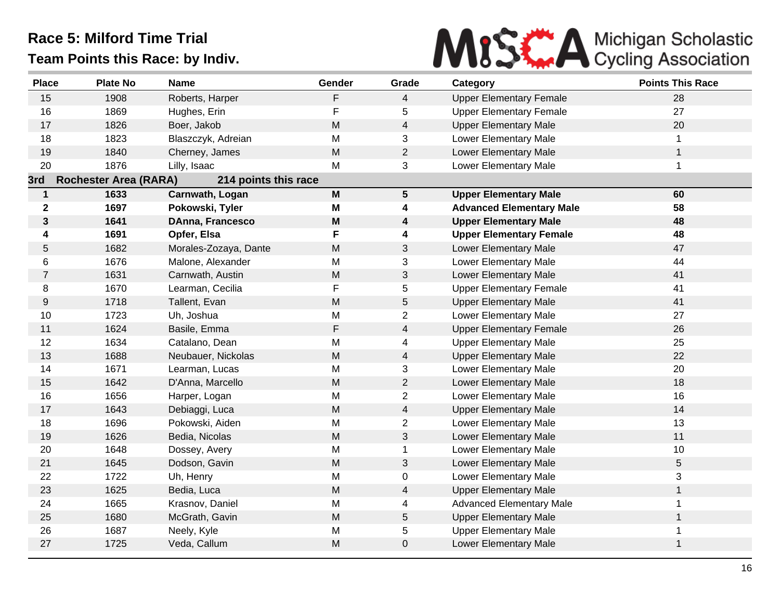

| 15<br>16<br>17<br>18<br>19<br>20<br>3rd<br>$\mathbf{1}$ | 1908<br>1869<br>1826<br>1823<br>1840<br>1876<br><b>Rochester Area (RARA)</b><br>1633<br>1697<br>1641<br>1691 | Roberts, Harper<br>Hughes, Erin<br>Boer, Jakob<br>Blaszczyk, Adreian<br>Cherney, James<br>Lilly, Isaac<br>214 points this race<br>Carnwath, Logan<br>Pokowski, Tyler | F<br>F<br>M<br>M<br>${\sf M}$<br>M<br>$\mathsf{M}$ | 4<br>5<br>$\overline{4}$<br>3<br>$\overline{2}$<br>3 | <b>Upper Elementary Female</b><br><b>Upper Elementary Female</b><br><b>Upper Elementary Male</b><br>Lower Elementary Male<br>Lower Elementary Male<br>Lower Elementary Male | 28<br>27<br>20<br>1<br>$\mathbf{1}$<br>$\mathbf{1}$ |
|---------------------------------------------------------|--------------------------------------------------------------------------------------------------------------|----------------------------------------------------------------------------------------------------------------------------------------------------------------------|----------------------------------------------------|------------------------------------------------------|-----------------------------------------------------------------------------------------------------------------------------------------------------------------------------|-----------------------------------------------------|
|                                                         |                                                                                                              |                                                                                                                                                                      |                                                    |                                                      |                                                                                                                                                                             |                                                     |
|                                                         |                                                                                                              |                                                                                                                                                                      |                                                    |                                                      |                                                                                                                                                                             |                                                     |
|                                                         |                                                                                                              |                                                                                                                                                                      |                                                    |                                                      |                                                                                                                                                                             |                                                     |
|                                                         |                                                                                                              |                                                                                                                                                                      |                                                    |                                                      |                                                                                                                                                                             |                                                     |
|                                                         |                                                                                                              |                                                                                                                                                                      |                                                    |                                                      |                                                                                                                                                                             |                                                     |
|                                                         |                                                                                                              |                                                                                                                                                                      |                                                    |                                                      |                                                                                                                                                                             |                                                     |
|                                                         |                                                                                                              |                                                                                                                                                                      |                                                    |                                                      |                                                                                                                                                                             |                                                     |
|                                                         |                                                                                                              |                                                                                                                                                                      |                                                    | $5\phantom{.0}$                                      | <b>Upper Elementary Male</b>                                                                                                                                                | 60                                                  |
| $\mathbf 2$                                             |                                                                                                              |                                                                                                                                                                      | M                                                  | 4                                                    | <b>Advanced Elementary Male</b>                                                                                                                                             | 58                                                  |
| $\mathbf{3}$                                            |                                                                                                              | DAnna, Francesco                                                                                                                                                     | M                                                  | $\boldsymbol{4}$                                     | <b>Upper Elementary Male</b>                                                                                                                                                | 48                                                  |
| 4                                                       |                                                                                                              | Opfer, Elsa                                                                                                                                                          | F                                                  | 4                                                    | <b>Upper Elementary Female</b>                                                                                                                                              | 48                                                  |
| 5                                                       | 1682                                                                                                         | Morales-Zozaya, Dante                                                                                                                                                | ${\sf M}$                                          | 3                                                    | Lower Elementary Male                                                                                                                                                       | 47                                                  |
| 6                                                       | 1676                                                                                                         | Malone, Alexander                                                                                                                                                    | M                                                  | 3                                                    | Lower Elementary Male                                                                                                                                                       | 44                                                  |
| $\overline{7}$                                          | 1631                                                                                                         | Carnwath, Austin                                                                                                                                                     | M                                                  | 3                                                    | Lower Elementary Male                                                                                                                                                       | 41                                                  |
| 8                                                       | 1670                                                                                                         | Learman, Cecilia                                                                                                                                                     | F                                                  | 5                                                    | <b>Upper Elementary Female</b>                                                                                                                                              | 41                                                  |
| 9                                                       | 1718                                                                                                         | Tallent, Evan                                                                                                                                                        | ${\sf M}$                                          | $\sqrt{5}$                                           | <b>Upper Elementary Male</b>                                                                                                                                                | 41                                                  |
| 10                                                      | 1723                                                                                                         | Uh, Joshua                                                                                                                                                           | M                                                  | $\overline{c}$                                       | Lower Elementary Male                                                                                                                                                       | 27                                                  |
| 11                                                      | 1624                                                                                                         | Basile, Emma                                                                                                                                                         | $\mathsf F$                                        | $\overline{4}$                                       | <b>Upper Elementary Female</b>                                                                                                                                              | 26                                                  |
| 12                                                      | 1634                                                                                                         | Catalano, Dean                                                                                                                                                       | M                                                  | 4                                                    | <b>Upper Elementary Male</b>                                                                                                                                                | 25                                                  |
| 13                                                      | 1688                                                                                                         | Neubauer, Nickolas                                                                                                                                                   | ${\sf M}$                                          | $\overline{4}$                                       | <b>Upper Elementary Male</b>                                                                                                                                                | 22                                                  |
| 14                                                      | 1671                                                                                                         | Learman, Lucas                                                                                                                                                       | M                                                  | 3                                                    | Lower Elementary Male                                                                                                                                                       | 20                                                  |
| 15                                                      | 1642                                                                                                         | D'Anna, Marcello                                                                                                                                                     | ${\sf M}$                                          | $\overline{2}$                                       | Lower Elementary Male                                                                                                                                                       | 18                                                  |
| 16                                                      | 1656                                                                                                         | Harper, Logan                                                                                                                                                        | M                                                  | $\overline{a}$                                       | Lower Elementary Male                                                                                                                                                       | 16                                                  |
| 17                                                      | 1643                                                                                                         | Debiaggi, Luca                                                                                                                                                       | M                                                  | 4                                                    | <b>Upper Elementary Male</b>                                                                                                                                                | 14                                                  |
| 18                                                      | 1696                                                                                                         | Pokowski, Aiden                                                                                                                                                      | M                                                  | $\overline{2}$                                       | Lower Elementary Male                                                                                                                                                       | 13                                                  |
| 19                                                      | 1626                                                                                                         | Bedia, Nicolas                                                                                                                                                       | ${\sf M}$                                          | $\sqrt{3}$                                           | Lower Elementary Male                                                                                                                                                       | 11                                                  |
| 20                                                      | 1648                                                                                                         | Dossey, Avery                                                                                                                                                        | M                                                  | $\mathbf{1}$                                         | Lower Elementary Male                                                                                                                                                       | 10                                                  |
| 21                                                      | 1645                                                                                                         | Dodson, Gavin                                                                                                                                                        | M                                                  | $\mathfrak{B}$                                       | Lower Elementary Male                                                                                                                                                       | 5                                                   |
| 22                                                      | 1722                                                                                                         | Uh, Henry                                                                                                                                                            | M                                                  | 0                                                    | Lower Elementary Male                                                                                                                                                       | 3                                                   |
| 23                                                      | 1625                                                                                                         | Bedia, Luca                                                                                                                                                          | ${\sf M}$                                          | $\overline{4}$                                       | <b>Upper Elementary Male</b>                                                                                                                                                | $\mathbf{1}$                                        |
| 24                                                      | 1665                                                                                                         | Krasnov, Daniel                                                                                                                                                      | M                                                  | 4                                                    | <b>Advanced Elementary Male</b>                                                                                                                                             | $\mathbf 1$                                         |
| 25                                                      | 1680                                                                                                         | McGrath, Gavin                                                                                                                                                       | ${\sf M}$                                          | 5                                                    | <b>Upper Elementary Male</b>                                                                                                                                                | $\mathbf{1}$                                        |
| 26                                                      | 1687                                                                                                         | Neely, Kyle                                                                                                                                                          | M                                                  | 5                                                    | <b>Upper Elementary Male</b>                                                                                                                                                | $\mathbf 1$                                         |
| 27                                                      | 1725                                                                                                         | Veda, Callum                                                                                                                                                         | M                                                  | $\mathbf 0$                                          | Lower Elementary Male                                                                                                                                                       | $\mathbf{1}$                                        |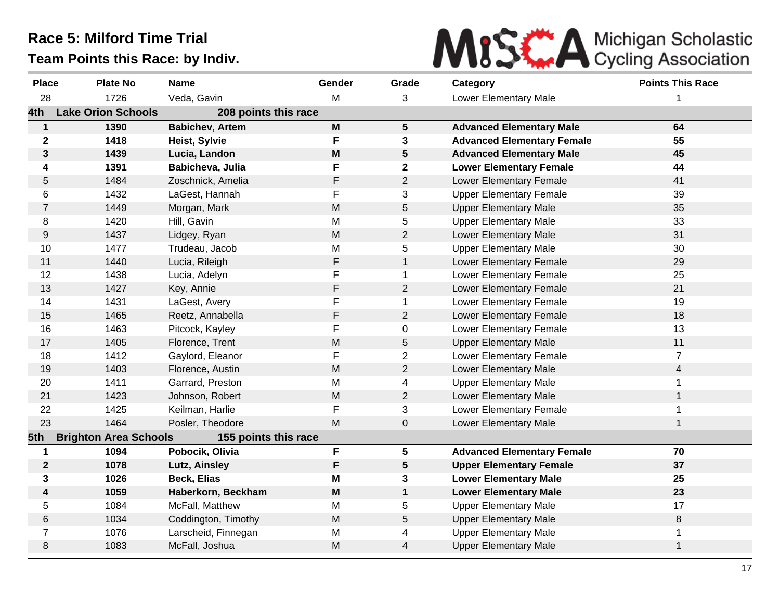

| <b>Place</b>     | <b>Plate No</b>              | <b>Name</b>            | Gender                                                                                | Grade                   | Category                          | <b>Points This Race</b> |
|------------------|------------------------------|------------------------|---------------------------------------------------------------------------------------|-------------------------|-----------------------------------|-------------------------|
| 28               | 1726                         | Veda, Gavin            | м                                                                                     | 3                       | Lower Elementary Male             |                         |
| 4th              | <b>Lake Orion Schools</b>    | 208 points this race   |                                                                                       |                         |                                   |                         |
| $\mathbf{1}$     | 1390                         | <b>Babichev, Artem</b> | $\mathsf{M}% _{T}=\mathsf{M}_{T}\!\left( a,b\right) ,\ \mathsf{M}_{T}=\mathsf{M}_{T}$ | $5\phantom{.0}$         | <b>Advanced Elementary Male</b>   | 64                      |
| $\mathbf 2$      | 1418                         | Heist, Sylvie          | F                                                                                     | $\mathbf{3}$            | <b>Advanced Elementary Female</b> | 55                      |
| $\mathbf{3}$     | 1439                         | Lucia, Landon          | M                                                                                     | 5                       | <b>Advanced Elementary Male</b>   | 45                      |
| 4                | 1391                         | Babicheva, Julia       | F                                                                                     | $\mathbf 2$             | <b>Lower Elementary Female</b>    | 44                      |
| 5                | 1484                         | Zoschnick, Amelia      | F                                                                                     | $\overline{2}$          | Lower Elementary Female           | 41                      |
| 6                | 1432                         | LaGest, Hannah         | F                                                                                     | 3                       | <b>Upper Elementary Female</b>    | 39                      |
| $\overline{7}$   | 1449                         | Morgan, Mark           | M                                                                                     | 5                       | <b>Upper Elementary Male</b>      | 35                      |
| 8                | 1420                         | Hill, Gavin            | M                                                                                     | 5                       | <b>Upper Elementary Male</b>      | 33                      |
| 9                | 1437                         | Lidgey, Ryan           | ${\sf M}$                                                                             | $\overline{c}$          | Lower Elementary Male             | 31                      |
| 10               | 1477                         | Trudeau, Jacob         | M                                                                                     | 5                       | <b>Upper Elementary Male</b>      | 30                      |
| 11               | 1440                         | Lucia, Rileigh         | F                                                                                     | $\mathbf{1}$            | Lower Elementary Female           | 29                      |
| 12               | 1438                         | Lucia, Adelyn          | F                                                                                     | $\mathbf 1$             | Lower Elementary Female           | 25                      |
| 13               | 1427                         | Key, Annie             | F                                                                                     | $\overline{2}$          | Lower Elementary Female           | 21                      |
| 14               | 1431                         | LaGest, Avery          | F                                                                                     | $\mathbf{1}$            | Lower Elementary Female           | 19                      |
| 15               | 1465                         | Reetz, Annabella       | F                                                                                     | $\overline{2}$          | Lower Elementary Female           | 18                      |
| 16               | 1463                         | Pitcock, Kayley        | F                                                                                     | 0                       | Lower Elementary Female           | 13                      |
| 17               | 1405                         | Florence, Trent        | M                                                                                     | $\mathbf 5$             | <b>Upper Elementary Male</b>      | 11                      |
| 18               | 1412                         | Gaylord, Eleanor       | F                                                                                     | $\overline{2}$          | Lower Elementary Female           | $\overline{7}$          |
| 19               | 1403                         | Florence, Austin       | ${\sf M}$                                                                             | $\overline{c}$          | Lower Elementary Male             | $\overline{4}$          |
| 20               | 1411                         | Garrard, Preston       | M                                                                                     | 4                       | <b>Upper Elementary Male</b>      |                         |
| 21               | 1423                         | Johnson, Robert        | M                                                                                     | $\overline{2}$          | Lower Elementary Male             | $\mathbf{1}$            |
| 22               | 1425                         | Keilman, Harlie        | F                                                                                     | 3                       | Lower Elementary Female           |                         |
| 23               | 1464                         | Posler, Theodore       | M                                                                                     | $\pmb{0}$               | Lower Elementary Male             | $\mathbf{1}$            |
| 5th              | <b>Brighton Area Schools</b> | 155 points this race   |                                                                                       |                         |                                   |                         |
| 1                | 1094                         | Pobocik, Olivia        | F                                                                                     | $\overline{\mathbf{5}}$ | <b>Advanced Elementary Female</b> | 70                      |
| $\boldsymbol{2}$ | 1078                         | Lutz, Ainsley          | F                                                                                     | 5                       | <b>Upper Elementary Female</b>    | 37                      |
| 3                | 1026                         | <b>Beck, Elias</b>     | M                                                                                     | 3                       | <b>Lower Elementary Male</b>      | 25                      |
| 4                | 1059                         | Haberkorn, Beckham     | M                                                                                     | $\mathbf 1$             | <b>Lower Elementary Male</b>      | 23                      |
| 5                | 1084                         | McFall, Matthew        | M                                                                                     | 5                       | <b>Upper Elementary Male</b>      | 17                      |
| 6                | 1034                         | Coddington, Timothy    | M                                                                                     | 5                       | <b>Upper Elementary Male</b>      | 8                       |
| $\overline{7}$   | 1076                         | Larscheid, Finnegan    | M                                                                                     | 4                       | <b>Upper Elementary Male</b>      | 1                       |
| 8                | 1083                         | McFall, Joshua         | M                                                                                     | 4                       | <b>Upper Elementary Male</b>      | $\mathbf{1}$            |
|                  |                              |                        |                                                                                       |                         |                                   |                         |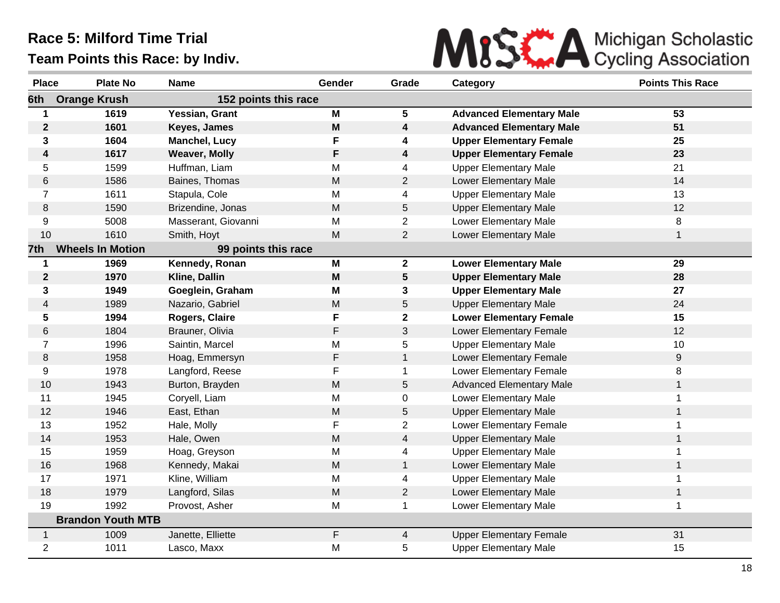

| <b>Place</b>   | <b>Plate No</b>          | <b>Name</b>          | Gender | Grade           | Category                        | <b>Points This Race</b> |
|----------------|--------------------------|----------------------|--------|-----------------|---------------------------------|-------------------------|
| 6th            | <b>Orange Krush</b>      | 152 points this race |        |                 |                                 |                         |
|                | 1619                     | Yessian, Grant       | M      | 5               | <b>Advanced Elementary Male</b> | 53                      |
| $\mathbf 2$    | 1601                     | Keyes, James         | M      | 4               | <b>Advanced Elementary Male</b> | 51                      |
| 3              | 1604                     | <b>Manchel, Lucy</b> | F      | 4               | <b>Upper Elementary Female</b>  | 25                      |
| 4              | 1617                     | <b>Weaver, Molly</b> | F      | 4               | <b>Upper Elementary Female</b>  | 23                      |
| 5              | 1599                     | Huffman, Liam        | M      | 4               | <b>Upper Elementary Male</b>    | 21                      |
| 6              | 1586                     | Baines, Thomas       | M      | $\overline{2}$  | Lower Elementary Male           | 14                      |
| $\overline{7}$ | 1611                     | Stapula, Cole        | M      | 4               | <b>Upper Elementary Male</b>    | 13                      |
| 8              | 1590                     | Brizendine, Jonas    | M      | $\mathbf 5$     | <b>Upper Elementary Male</b>    | 12                      |
| 9              | 5008                     | Masserant, Giovanni  | M      | $\overline{2}$  | Lower Elementary Male           | 8                       |
| 10             | 1610                     | Smith, Hoyt          | M      | $\overline{2}$  | Lower Elementary Male           | $\mathbf{1}$            |
| 7th            | <b>Wheels In Motion</b>  | 99 points this race  |        |                 |                                 |                         |
| $\mathbf 1$    | 1969                     | Kennedy, Ronan       | M      | 2 <sup>1</sup>  | <b>Lower Elementary Male</b>    | 29                      |
| $\mathbf{2}$   | 1970                     | Kline, Dallin        | M      | $5\phantom{.0}$ | <b>Upper Elementary Male</b>    | 28                      |
| 3              | 1949                     | Goeglein, Graham     | M      | 3               | <b>Upper Elementary Male</b>    | 27                      |
| 4              | 1989                     | Nazario, Gabriel     | M      | 5               | <b>Upper Elementary Male</b>    | 24                      |
| 5              | 1994                     | Rogers, Claire       | F      | $\mathbf{2}$    | <b>Lower Elementary Female</b>  | 15                      |
| 6              | 1804                     | Brauner, Olivia      | F      | 3               | Lower Elementary Female         | 12                      |
| $\overline{7}$ | 1996                     | Saintin, Marcel      | M      | 5               | <b>Upper Elementary Male</b>    | 10                      |
| 8              | 1958                     | Hoag, Emmersyn       | F      | $\mathbf{1}$    | Lower Elementary Female         | 9                       |
| 9              | 1978                     | Langford, Reese      | F      |                 | Lower Elementary Female         | 8                       |
| 10             | 1943                     | Burton, Brayden      | M      | 5               | <b>Advanced Elementary Male</b> | $\mathbf{1}$            |
| 11             | 1945                     | Coryell, Liam        | M      | 0               | Lower Elementary Male           | 1                       |
| 12             | 1946                     | East, Ethan          | M      | 5               | <b>Upper Elementary Male</b>    | $\mathbf{1}$            |
| 13             | 1952                     | Hale, Molly          | F      | $\overline{2}$  | Lower Elementary Female         | 1                       |
| 14             | 1953                     | Hale, Owen           | M      | 4               | <b>Upper Elementary Male</b>    | $\mathbf{1}$            |
| 15             | 1959                     | Hoag, Greyson        | M      | 4               | <b>Upper Elementary Male</b>    | 1                       |
| 16             | 1968                     | Kennedy, Makai       | M      | $\mathbf{1}$    | Lower Elementary Male           | $\mathbf 1$             |
| 17             | 1971                     | Kline, William       | M      | 4               | <b>Upper Elementary Male</b>    | 1                       |
| 18             | 1979                     | Langford, Silas      | M      | $\overline{2}$  | Lower Elementary Male           | $\mathbf{1}$            |
| 19             | 1992                     | Provost, Asher       | M      |                 | Lower Elementary Male           | $\mathbf{1}$            |
|                | <b>Brandon Youth MTB</b> |                      |        |                 |                                 |                         |
| $\mathbf{1}$   | 1009                     | Janette, Elliette    | F      | 4               | <b>Upper Elementary Female</b>  | 31                      |
| $\overline{2}$ | 1011                     | Lasco, Maxx          | M      | 5               | <b>Upper Elementary Male</b>    | 15                      |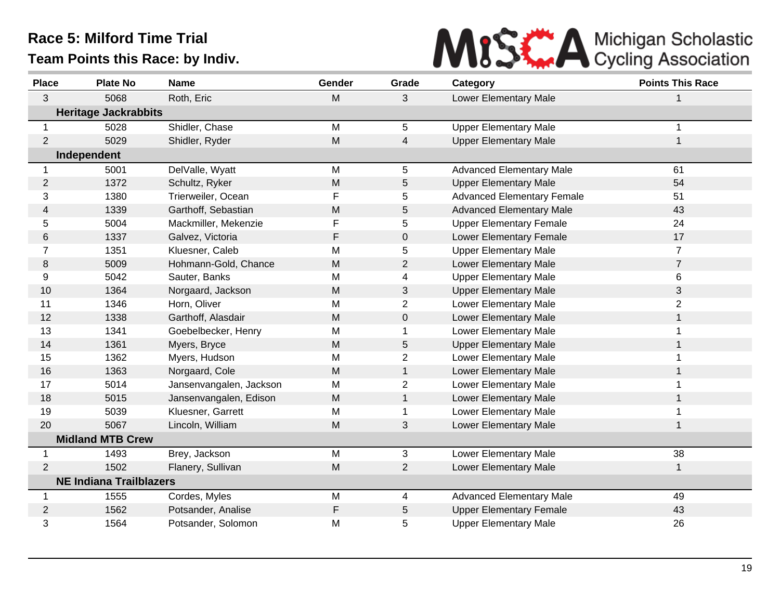

| <b>Place</b> | <b>Plate No</b>                | <b>Name</b>             | Gender | Grade          | Category                          | <b>Points This Race</b> |
|--------------|--------------------------------|-------------------------|--------|----------------|-----------------------------------|-------------------------|
| 3            | 5068                           | Roth, Eric              | M      | 3              | Lower Elementary Male             | 1                       |
|              | <b>Heritage Jackrabbits</b>    |                         |        |                |                                   |                         |
| 1            | 5028                           | Shidler, Chase          | M      | 5              | <b>Upper Elementary Male</b>      | 1                       |
| 2            | 5029                           | Shidler, Ryder          | M      | 4              | <b>Upper Elementary Male</b>      | 1                       |
|              | Independent                    |                         |        |                |                                   |                         |
| $\mathbf 1$  | 5001                           | DelValle, Wyatt         | M      | 5              | <b>Advanced Elementary Male</b>   | 61                      |
| $\mathbf{2}$ | 1372                           | Schultz, Ryker          | M      | 5              | <b>Upper Elementary Male</b>      | 54                      |
| 3            | 1380                           | Trierweiler, Ocean      | F      | 5              | <b>Advanced Elementary Female</b> | 51                      |
| 4            | 1339                           | Garthoff, Sebastian     | M      | 5              | <b>Advanced Elementary Male</b>   | 43                      |
| 5            | 5004                           | Mackmiller, Mekenzie    | F      | 5              | <b>Upper Elementary Female</b>    | 24                      |
| 6            | 1337                           | Galvez, Victoria        | F      | $\mathbf 0$    | Lower Elementary Female           | 17                      |
| 7            | 1351                           | Kluesner, Caleb         | M      | 5              | <b>Upper Elementary Male</b>      | $\overline{7}$          |
| 8            | 5009                           | Hohmann-Gold, Chance    | M      | $\overline{c}$ | Lower Elementary Male             | $\overline{7}$          |
| 9            | 5042                           | Sauter, Banks           | M      | 4              | <b>Upper Elementary Male</b>      | 6                       |
| 10           | 1364                           | Norgaard, Jackson       | M      | 3              | <b>Upper Elementary Male</b>      | 3                       |
| 11           | 1346                           | Horn, Oliver            | M      | $\overline{2}$ | <b>Lower Elementary Male</b>      | $\overline{2}$          |
| 12           | 1338                           | Garthoff, Alasdair      | M      | 0              | Lower Elementary Male             | $\mathbf{1}$            |
| 13           | 1341                           | Goebelbecker, Henry     | M      |                | Lower Elementary Male             |                         |
| 14           | 1361                           | Myers, Bryce            | M      | 5              | <b>Upper Elementary Male</b>      | $\mathbf{1}$            |
| 15           | 1362                           | Myers, Hudson           | M      | $\overline{2}$ | Lower Elementary Male             |                         |
| 16           | 1363                           | Norgaard, Cole          | M      | $\mathbf{1}$   | Lower Elementary Male             | $\mathbf 1$             |
| 17           | 5014                           | Jansenvangalen, Jackson | M      | $\overline{c}$ | Lower Elementary Male             |                         |
| 18           | 5015                           | Jansenvangalen, Edison  | M      | $\mathbf{1}$   | Lower Elementary Male             | 1                       |
| 19           | 5039                           | Kluesner, Garrett       | M      | 1              | Lower Elementary Male             | 1                       |
| 20           | 5067                           | Lincoln, William        | M      | 3              | Lower Elementary Male             | 1                       |
|              | <b>Midland MTB Crew</b>        |                         |        |                |                                   |                         |
| -1           | 1493                           | Brey, Jackson           | M      | 3              | Lower Elementary Male             | 38                      |
| 2            | 1502                           | Flanery, Sullivan       | M      | $\overline{2}$ | Lower Elementary Male             | $\mathbf{1}$            |
|              | <b>NE Indiana Trailblazers</b> |                         |        |                |                                   |                         |
| -1           | 1555                           | Cordes, Myles           | M      | 4              | <b>Advanced Elementary Male</b>   | 49                      |
| 2            | 1562                           | Potsander, Analise      | F      | 5              | <b>Upper Elementary Female</b>    | 43                      |
| 3            | 1564                           | Potsander, Solomon      | M      | 5              | <b>Upper Elementary Male</b>      | 26                      |